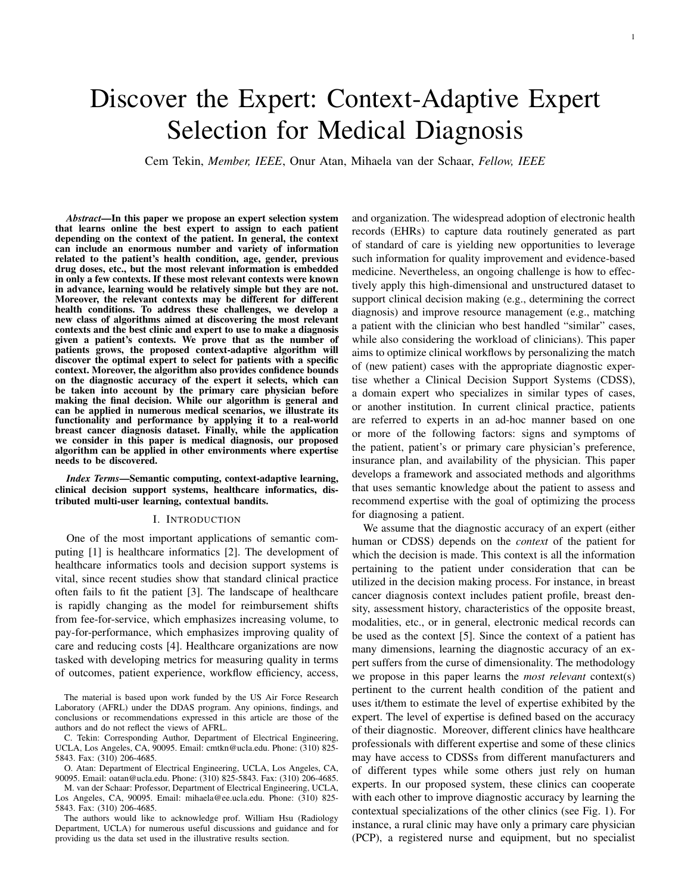# Discover the Expert: Context-Adaptive Expert Selection for Medical Diagnosis

Cem Tekin, *Member, IEEE*, Onur Atan, Mihaela van der Schaar, *Fellow, IEEE*

*Abstract*—In this paper we propose an expert selection system that learns online the best expert to assign to each patient depending on the context of the patient. In general, the context can include an enormous number and variety of information related to the patient's health condition, age, gender, previous drug doses, etc., but the most relevant information is embedded in only a few contexts. If these most relevant contexts were known in advance, learning would be relatively simple but they are not. Moreover, the relevant contexts may be different for different health conditions. To address these challenges, we develop a new class of algorithms aimed at discovering the most relevant contexts and the best clinic and expert to use to make a diagnosis given a patient's contexts. We prove that as the number of patients grows, the proposed context-adaptive algorithm will discover the optimal expert to select for patients with a specific context. Moreover, the algorithm also provides confidence bounds on the diagnostic accuracy of the expert it selects, which can be taken into account by the primary care physician before making the final decision. While our algorithm is general and can be applied in numerous medical scenarios, we illustrate its functionality and performance by applying it to a real-world breast cancer diagnosis dataset. Finally, while the application we consider in this paper is medical diagnosis, our proposed algorithm can be applied in other environments where expertise needs to be discovered.

*Index Terms*—Semantic computing, context-adaptive learning, clinical decision support systems, healthcare informatics, distributed multi-user learning, contextual bandits.

## I. INTRODUCTION

One of the most important applications of semantic computing [1] is healthcare informatics [2]. The development of healthcare informatics tools and decision support systems is vital, since recent studies show that standard clinical practice often fails to fit the patient [3]. The landscape of healthcare is rapidly changing as the model for reimbursement shifts from fee-for-service, which emphasizes increasing volume, to pay-for-performance, which emphasizes improving quality of care and reducing costs [4]. Healthcare organizations are now tasked with developing metrics for measuring quality in terms of outcomes, patient experience, workflow efficiency, access,

The material is based upon work funded by the US Air Force Research Laboratory (AFRL) under the DDAS program. Any opinions, findings, and conclusions or recommendations expressed in this article are those of the authors and do not reflect the views of AFRL.

C. Tekin: Corresponding Author, Department of Electrical Engineering, UCLA, Los Angeles, CA, 90095. Email: cmtkn@ucla.edu. Phone: (310) 825- 5843. Fax: (310) 206-4685.

O. Atan: Department of Electrical Engineering, UCLA, Los Angeles, CA, 90095. Email: oatan@ucla.edu. Phone: (310) 825-5843. Fax: (310) 206-4685.

M. van der Schaar: Professor, Department of Electrical Engineering, UCLA, Los Angeles, CA, 90095. Email: mihaela@ee.ucla.edu. Phone: (310) 825- 5843. Fax: (310) 206-4685.

The authors would like to acknowledge prof. William Hsu (Radiology Department, UCLA) for numerous useful discussions and guidance and for providing us the data set used in the illustrative results section.

and organization. The widespread adoption of electronic health records (EHRs) to capture data routinely generated as part of standard of care is yielding new opportunities to leverage such information for quality improvement and evidence-based medicine. Nevertheless, an ongoing challenge is how to effectively apply this high-dimensional and unstructured dataset to support clinical decision making (e.g., determining the correct diagnosis) and improve resource management (e.g., matching a patient with the clinician who best handled "similar" cases, while also considering the workload of clinicians). This paper aims to optimize clinical workflows by personalizing the match of (new patient) cases with the appropriate diagnostic expertise whether a Clinical Decision Support Systems (CDSS), a domain expert who specializes in similar types of cases, or another institution. In current clinical practice, patients are referred to experts in an ad-hoc manner based on one or more of the following factors: signs and symptoms of the patient, patient's or primary care physician's preference, insurance plan, and availability of the physician. This paper develops a framework and associated methods and algorithms that uses semantic knowledge about the patient to assess and recommend expertise with the goal of optimizing the process for diagnosing a patient.

We assume that the diagnostic accuracy of an expert (either human or CDSS) depends on the *context* of the patient for which the decision is made. This context is all the information pertaining to the patient under consideration that can be utilized in the decision making process. For instance, in breast cancer diagnosis context includes patient profile, breast density, assessment history, characteristics of the opposite breast, modalities, etc., or in general, electronic medical records can be used as the context [5]. Since the context of a patient has many dimensions, learning the diagnostic accuracy of an expert suffers from the curse of dimensionality. The methodology we propose in this paper learns the *most relevant* context(s) pertinent to the current health condition of the patient and uses it/them to estimate the level of expertise exhibited by the expert. The level of expertise is defined based on the accuracy of their diagnostic. Moreover, different clinics have healthcare professionals with different expertise and some of these clinics may have access to CDSSs from different manufacturers and of different types while some others just rely on human experts. In our proposed system, these clinics can cooperate with each other to improve diagnostic accuracy by learning the contextual specializations of the other clinics (see Fig. 1). For instance, a rural clinic may have only a primary care physician (PCP), a registered nurse and equipment, but no specialist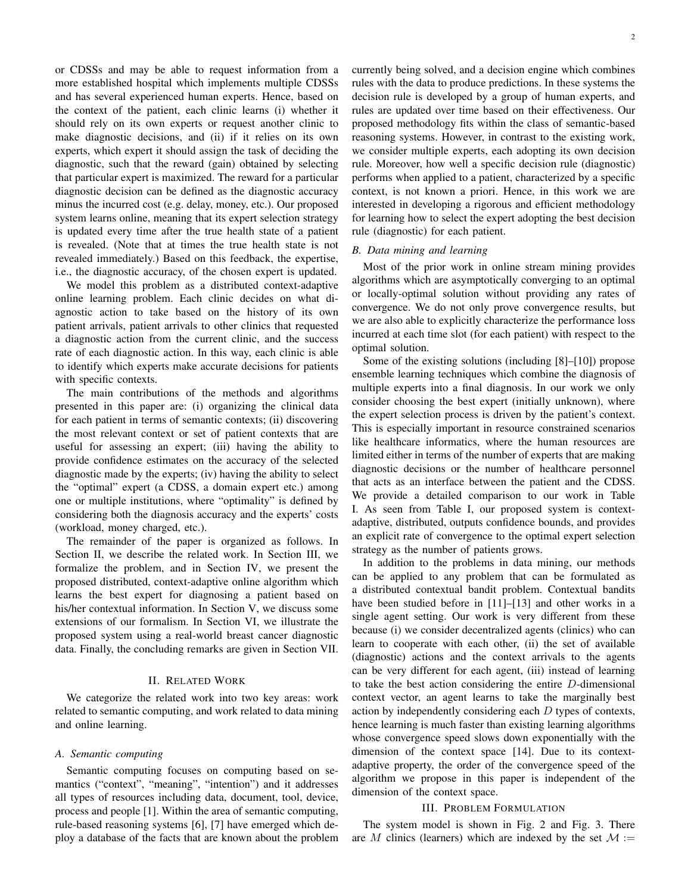or CDSSs and may be able to request information from a more established hospital which implements multiple CDSSs and has several experienced human experts. Hence, based on the context of the patient, each clinic learns (i) whether it should rely on its own experts or request another clinic to make diagnostic decisions, and (ii) if it relies on its own experts, which expert it should assign the task of deciding the diagnostic, such that the reward (gain) obtained by selecting that particular expert is maximized. The reward for a particular diagnostic decision can be defined as the diagnostic accuracy minus the incurred cost (e.g. delay, money, etc.). Our proposed system learns online, meaning that its expert selection strategy is updated every time after the true health state of a patient is revealed. (Note that at times the true health state is not revealed immediately.) Based on this feedback, the expertise, i.e., the diagnostic accuracy, of the chosen expert is updated.

We model this problem as a distributed context-adaptive online learning problem. Each clinic decides on what diagnostic action to take based on the history of its own patient arrivals, patient arrivals to other clinics that requested a diagnostic action from the current clinic, and the success rate of each diagnostic action. In this way, each clinic is able to identify which experts make accurate decisions for patients with specific contexts.

The main contributions of the methods and algorithms presented in this paper are: (i) organizing the clinical data for each patient in terms of semantic contexts; (ii) discovering the most relevant context or set of patient contexts that are useful for assessing an expert; (iii) having the ability to provide confidence estimates on the accuracy of the selected diagnostic made by the experts; (iv) having the ability to select the "optimal" expert (a CDSS, a domain expert etc.) among one or multiple institutions, where "optimality" is defined by considering both the diagnosis accuracy and the experts' costs (workload, money charged, etc.).

The remainder of the paper is organized as follows. In Section II, we describe the related work. In Section III, we formalize the problem, and in Section IV, we present the proposed distributed, context-adaptive online algorithm which learns the best expert for diagnosing a patient based on his/her contextual information. In Section V, we discuss some extensions of our formalism. In Section VI, we illustrate the proposed system using a real-world breast cancer diagnostic data. Finally, the concluding remarks are given in Section VII.

## II. RELATED WORK

We categorize the related work into two key areas: work related to semantic computing, and work related to data mining and online learning.

#### *A. Semantic computing*

Semantic computing focuses on computing based on semantics ("context", "meaning", "intention") and it addresses all types of resources including data, document, tool, device, process and people [1]. Within the area of semantic computing, rule-based reasoning systems [6], [7] have emerged which deploy a database of the facts that are known about the problem currently being solved, and a decision engine which combines rules with the data to produce predictions. In these systems the decision rule is developed by a group of human experts, and rules are updated over time based on their effectiveness. Our proposed methodology fits within the class of semantic-based reasoning systems. However, in contrast to the existing work, we consider multiple experts, each adopting its own decision rule. Moreover, how well a specific decision rule (diagnostic) performs when applied to a patient, characterized by a specific context, is not known a priori. Hence, in this work we are interested in developing a rigorous and efficient methodology for learning how to select the expert adopting the best decision rule (diagnostic) for each patient.

## *B. Data mining and learning*

Most of the prior work in online stream mining provides algorithms which are asymptotically converging to an optimal or locally-optimal solution without providing any rates of convergence. We do not only prove convergence results, but we are also able to explicitly characterize the performance loss incurred at each time slot (for each patient) with respect to the optimal solution.

Some of the existing solutions (including [8]–[10]) propose ensemble learning techniques which combine the diagnosis of multiple experts into a final diagnosis. In our work we only consider choosing the best expert (initially unknown), where the expert selection process is driven by the patient's context. This is especially important in resource constrained scenarios like healthcare informatics, where the human resources are limited either in terms of the number of experts that are making diagnostic decisions or the number of healthcare personnel that acts as an interface between the patient and the CDSS. We provide a detailed comparison to our work in Table I. As seen from Table I, our proposed system is contextadaptive, distributed, outputs confidence bounds, and provides an explicit rate of convergence to the optimal expert selection strategy as the number of patients grows.

In addition to the problems in data mining, our methods can be applied to any problem that can be formulated as a distributed contextual bandit problem. Contextual bandits have been studied before in [11]–[13] and other works in a single agent setting. Our work is very different from these because (i) we consider decentralized agents (clinics) who can learn to cooperate with each other, (ii) the set of available (diagnostic) actions and the context arrivals to the agents can be very different for each agent, (iii) instead of learning to take the best action considering the entire D-dimensional context vector, an agent learns to take the marginally best action by independently considering each  $D$  types of contexts, hence learning is much faster than existing learning algorithms whose convergence speed slows down exponentially with the dimension of the context space [14]. Due to its contextadaptive property, the order of the convergence speed of the algorithm we propose in this paper is independent of the dimension of the context space.

# III. PROBLEM FORMULATION

The system model is shown in Fig. 2 and Fig. 3. There are M clinics (learners) which are indexed by the set  $\mathcal{M}$  :=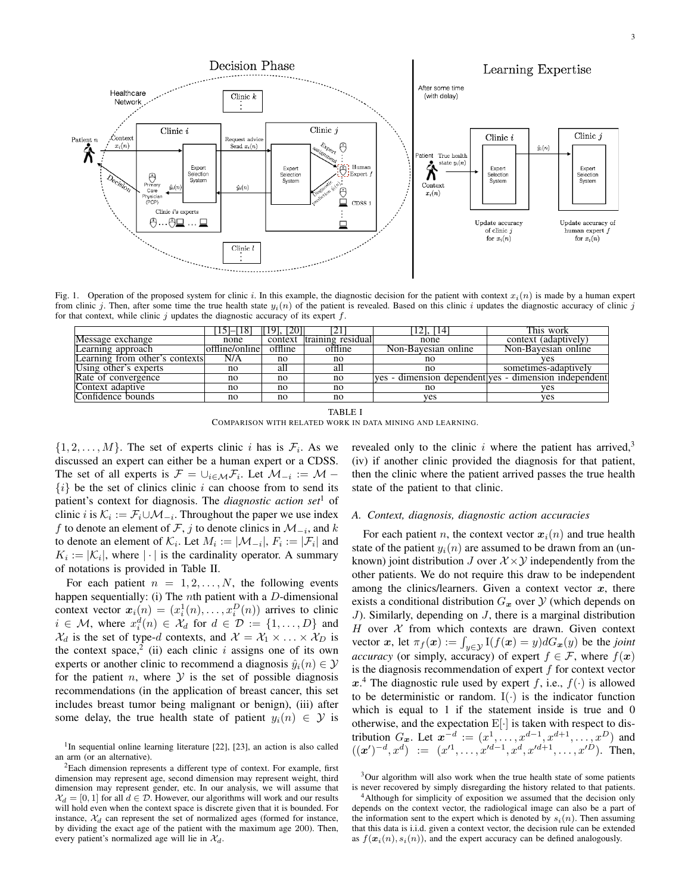

Fig. 1. Operation of the proposed system for clinic i. In this example, the diagnostic decision for the patient with context  $x_i(n)$  is made by a human expert from clinic j. Then, after some time the true health state  $y_i(n)$  of the patient is revealed. Based on this clinic i updates the diagnostic accuracy of clinic j for that context, while clinic  $j$  updates the diagnostic accuracy of its expert  $f$ .

|                                | $15 - 18$      | 1201<br>191. |                   | 121, 114            | This work                                             |
|--------------------------------|----------------|--------------|-------------------|---------------------|-------------------------------------------------------|
| Message exchange               | none           | context      | training residual | none                | context (adaptively)                                  |
| Learning approach              | offline/online | offline      | offline           | Non-Bavesian online | Non-Bayesian online                                   |
| Learning from other's contexts | N/A            | no           | no                | no                  | ves                                                   |
| Using other's experts          | no             | all          | all               | no                  | sometimes-adaptively                                  |
| Rate of convergence            | no             | no           | no                |                     | ves - dimension dependent ves - dimension independent |
| Context adaptive               | no             | no           | no                | no                  | yes                                                   |
| Confidence bounds              | no             | no           | no                | yes                 | yes                                                   |

|                                                           | TABLE I |  |
|-----------------------------------------------------------|---------|--|
| Comparison with related work in data mining and learning. |         |  |

 $\{1, 2, \ldots, M\}$ . The set of experts clinic *i* has is  $\mathcal{F}_i$ . As we discussed an expert can either be a human expert or a CDSS. The set of all experts is  $\mathcal{F} = \cup_{i \in \mathcal{M}} \mathcal{F}_i$ . Let  $\mathcal{M}_{-i} := \mathcal{M} \{i\}$  be the set of clinics clinic i can choose from to send its patient's context for diagnosis. The *diagnostic action set*<sup>1</sup> of clinic *i* is  $\mathcal{K}_i := \mathcal{F}_i \cup \mathcal{M}_{-i}$ . Throughout the paper we use index f to denote an element of F, j to denote clinics in  $\mathcal{M}_{-i}$ , and k to denote an element of  $\mathcal{K}_i$ . Let  $M_i := |\mathcal{M}_{-i}|$ ,  $F_i := |\mathcal{F}_i|$  and  $K_i := |\mathcal{K}_i|$ , where  $|\cdot|$  is the cardinality operator. A summary of notations is provided in Table II.

For each patient  $n = 1, 2, \ldots, N$ , the following events happen sequentially: (i) The *n*th patient with a  $D$ -dimensional context vector  $x_i(n) = (x_i^1(n), \dots, x_i^D(n))$  arrives to clinic  $i \in \mathcal{M}$ , where  $x_i^d(n) \in \mathcal{X}_d$  for  $d \in \mathcal{D} := \{1, ..., D\}$  and  $\mathcal{X}_d$  is the set of type-d contexts, and  $\mathcal{X} = \mathcal{X}_1 \times \ldots \times \mathcal{X}_D$  is the context space,<sup>2</sup> (ii) each clinic i assigns one of its own experts or another clinic to recommend a diagnosis  $\hat{y}_i(n) \in \mathcal{Y}$ for the patient *n*, where  $\mathcal Y$  is the set of possible diagnosis recommendations (in the application of breast cancer, this set includes breast tumor being malignant or benign), (iii) after some delay, the true health state of patient  $y_i(n) \in \mathcal{Y}$  is

<sup>1</sup>In sequential online learning literature [22], [23], an action is also called an arm (or an alternative).

<sup>2</sup>Each dimension represents a different type of context. For example, first dimension may represent age, second dimension may represent weight, third dimension may represent gender, etc. In our analysis, we will assume that  $\mathcal{X}_d = [0, 1]$  for all  $d \in \mathcal{D}$ . However, our algorithms will work and our results will hold even when the context space is discrete given that it is bounded. For instance,  $\mathcal{X}_d$  can represent the set of normalized ages (formed for instance, by dividing the exact age of the patient with the maximum age 200). Then, every patient's normalized age will lie in  $\mathcal{X}_d$ .

revealed only to the clinic  $i$  where the patient has arrived,<sup>3</sup> (iv) if another clinic provided the diagnosis for that patient, then the clinic where the patient arrived passes the true health state of the patient to that clinic.

# *A. Context, diagnosis, diagnostic action accuracies*

For each patient n, the context vector  $x_i(n)$  and true health state of the patient  $y_i(n)$  are assumed to be drawn from an (unknown) joint distribution J over  $\mathcal{X} \times \mathcal{Y}$  independently from the other patients. We do not require this draw to be independent among the clinics/learners. Given a context vector  $x$ , there exists a conditional distribution  $G_x$  over  $\mathcal Y$  (which depends on J). Similarly, depending on  $J$ , there is a marginal distribution H over  $X$  from which contexts are drawn. Given context vector x, let  $\pi_f(x) := \int_{y \in \mathcal{Y}} I(f(x) = y) dG_x(y)$  be the *joint accuracy* (or simply, accuracy) of expert  $f \in \mathcal{F}$ , where  $f(x)$ is the diagnosis recommendation of expert  $f$  for context vector  $x^4$ . The diagnostic rule used by expert f, i.e.,  $f(\cdot)$  is allowed to be deterministic or random.  $I(\cdot)$  is the indicator function which is equal to 1 if the statement inside is true and 0 otherwise, and the expectation  $E[\cdot]$  is taken with respect to distribution  $G_x$ . Let  $x^{-d} := (x^1, \ldots, x^{d-1}, x^{d+1}, \ldots, x^D)$  and  $((x')^{-d}, x^d) := (x'^1, \ldots, x'^{d-1}, x^d, x'^{d+1}, \ldots, x'^D).$  Then,

<sup>3</sup>Our algorithm will also work when the true health state of some patients is never recovered by simply disregarding the history related to that patients.

<sup>&</sup>lt;sup>4</sup>Although for simplicity of exposition we assumed that the decision only depends on the context vector, the radiological image can also be a part of the information sent to the expert which is denoted by  $s_i(n)$ . Then assuming that this data is i.i.d. given a context vector, the decision rule can be extended as  $f(\mathbf{x}_i(n), s_i(n))$ , and the expert accuracy can be defined analogously.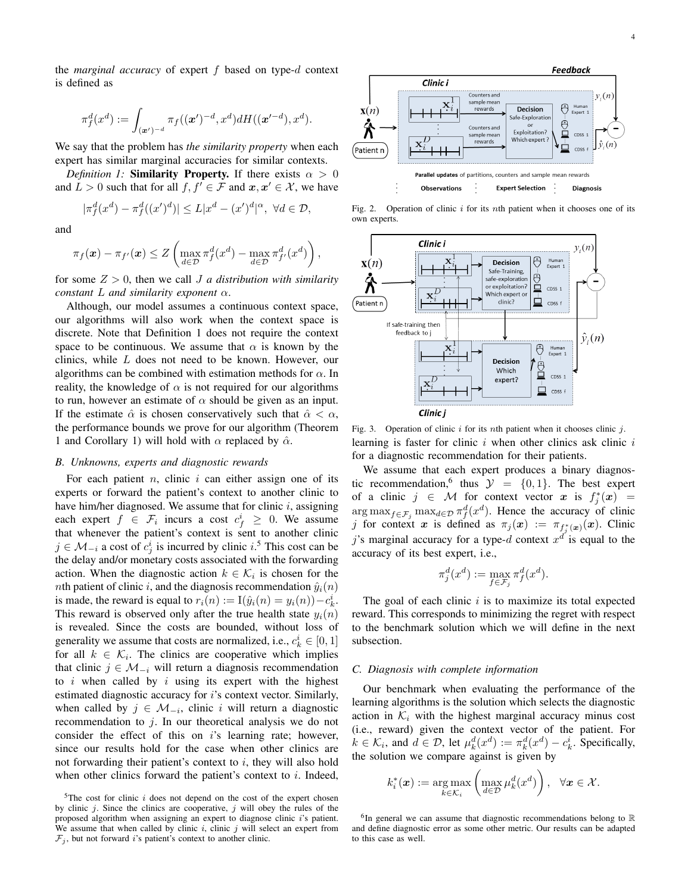the *marginal accuracy* of expert f based on type-d context is defined as

$$
\pi^d_f(x^d):=\int_{(\boldsymbol{x}^\prime)^{-d}}\pi_f((\boldsymbol{x}^\prime)^{-d},x^d)dH((\boldsymbol{x}^{\prime-d}),x^d).
$$

We say that the problem has *the similarity property* when each expert has similar marginal accuracies for similar contexts.

*Definition 1:* **Similarity Property.** If there exists  $\alpha > 0$ and  $L > 0$  such that for all  $f, f' \in \mathcal{F}$  and  $\mathbf{x}, \mathbf{x}' \in \mathcal{X}$ , we have

$$
|\pi_f^d(x^d) - \pi_f^d((x')^d)| \le L|x^d - (x')^d|^\alpha, \ \forall d \in \mathcal{D},
$$

and

$$
\pi_f(\boldsymbol{x}) - \pi_{f'}(\boldsymbol{x}) \leq Z \left( \max_{d \in \mathcal{D}} \pi_f^d(x^d) - \max_{d \in \mathcal{D}} \pi_{f'}^d(x^d) \right),
$$

for some  $Z > 0$ , then we call J *a distribution with similarity constant* L *and similarity exponent* α.

Although, our model assumes a continuous context space, our algorithms will also work when the context space is discrete. Note that Definition 1 does not require the context space to be continuous. We assume that  $\alpha$  is known by the clinics, while L does not need to be known. However, our algorithms can be combined with estimation methods for  $\alpha$ . In reality, the knowledge of  $\alpha$  is not required for our algorithms to run, however an estimate of  $\alpha$  should be given as an input. If the estimate  $\hat{\alpha}$  is chosen conservatively such that  $\hat{\alpha} < \alpha$ , the performance bounds we prove for our algorithm (Theorem 1 and Corollary 1) will hold with  $\alpha$  replaced by  $\hat{\alpha}$ .

#### *B. Unknowns, experts and diagnostic rewards*

For each patient  $n$ , clinic  $i$  can either assign one of its experts or forward the patient's context to another clinic to have him/her diagnosed. We assume that for clinic  $i$ , assigning each expert  $f \in \mathcal{F}_i$  incurs a cost  $c_f^i \geq 0$ . We assume that whenever the patient's context is sent to another clinic  $j \in \mathcal{M}_{-i}$  a cost of  $c_j^i$  is incurred by clinic  $i$ .<sup>5</sup> This cost can be the delay and/or monetary costs associated with the forwarding action. When the diagnostic action  $k \in \mathcal{K}_i$  is chosen for the nth patient of clinic i, and the diagnosis recommendation  $\hat{y}_i(n)$ is made, the reward is equal to  $r_i(n) := I(\hat{y}_i(n) = y_i(n)) - c_k^i$ . This reward is observed only after the true health state  $y_i(n)$ is revealed. Since the costs are bounded, without loss of generality we assume that costs are normalized, i.e.,  $c_k^i \in [0, 1]$ for all  $k \in \mathcal{K}_i$ . The clinics are cooperative which implies that clinic  $j \in \mathcal{M}_{-i}$  will return a diagnosis recommendation to  $i$  when called by  $i$  using its expert with the highest estimated diagnostic accuracy for i's context vector. Similarly, when called by  $j \in \mathcal{M}_{-i}$ , clinic i will return a diagnostic recommendation to  $j$ . In our theoretical analysis we do not consider the effect of this on i's learning rate; however, since our results hold for the case when other clinics are not forwarding their patient's context to  $i$ , they will also hold when other clinics forward the patient's context to  $i$ . Indeed,



Fig. 2. Operation of clinic  $i$  for its nth patient when it chooses one of its own experts.



Fig. 3. Operation of clinic  $i$  for its nth patient when it chooses clinic  $j$ . learning is faster for clinic  $i$  when other clinics ask clinic  $i$ for a diagnostic recommendation for their patients.

We assume that each expert produces a binary diagnostic recommendation, <sup>6</sup> thus  $\mathcal{Y} = \{0, 1\}$ . The best expert of a clinic  $j \in \mathcal{M}$  for context vector x is  $f_j^*(x) =$  $\arg \max_{f \in \mathcal{F}_j} \max_{d \in \mathcal{D}} \pi_f^d(x^d)$ . Hence the accuracy of clinic j for context x is defined as  $\pi_j(x) := \pi_{f_j^*(x)}(x)$ . Clinic j's marginal accuracy for a type-d context  $x^{d'}$  is equal to the accuracy of its best expert, i.e.,

$$
\pi^d_j(x^d):=\max_{f\in\mathcal{F}_j}\pi^d_f(x^d).
$$

The goal of each clinic  $i$  is to maximize its total expected reward. This corresponds to minimizing the regret with respect to the benchmark solution which we will define in the next subsection.

# *C. Diagnosis with complete information*

Our benchmark when evaluating the performance of the learning algorithms is the solution which selects the diagnostic action in  $\mathcal{K}_i$  with the highest marginal accuracy minus cost (i.e., reward) given the context vector of the patient. For  $k \in \mathcal{K}_i$ , and  $d \in \mathcal{D}$ , let  $\mu_k^d(x^d) := \pi_k^d(x^d) - c_k^i$ . Specifically, the solution we compare against is given by

$$
k_i^*(\boldsymbol{x}) := \underset{k \in \mathcal{K}_i}{\arg \max} \left( \underset{d \in \mathcal{D}}{\max} \mu_k^d(x^d) \right), \ \ \forall \boldsymbol{x} \in \mathcal{X}.
$$

 $5$ The cost for clinic i does not depend on the cost of the expert chosen by clinic  $j$ . Since the clinics are cooperative,  $j$  will obey the rules of the proposed algorithm when assigning an expert to diagnose clinic i's patient. We assume that when called by clinic  $i$ , clinic  $j$  will select an expert from  $\mathcal{F}_i$ , but not forward i's patient's context to another clinic.

 ${}^{6}$ In general we can assume that diagnostic recommendations belong to  $\mathbb R$ and define diagnostic error as some other metric. Our results can be adapted to this case as well.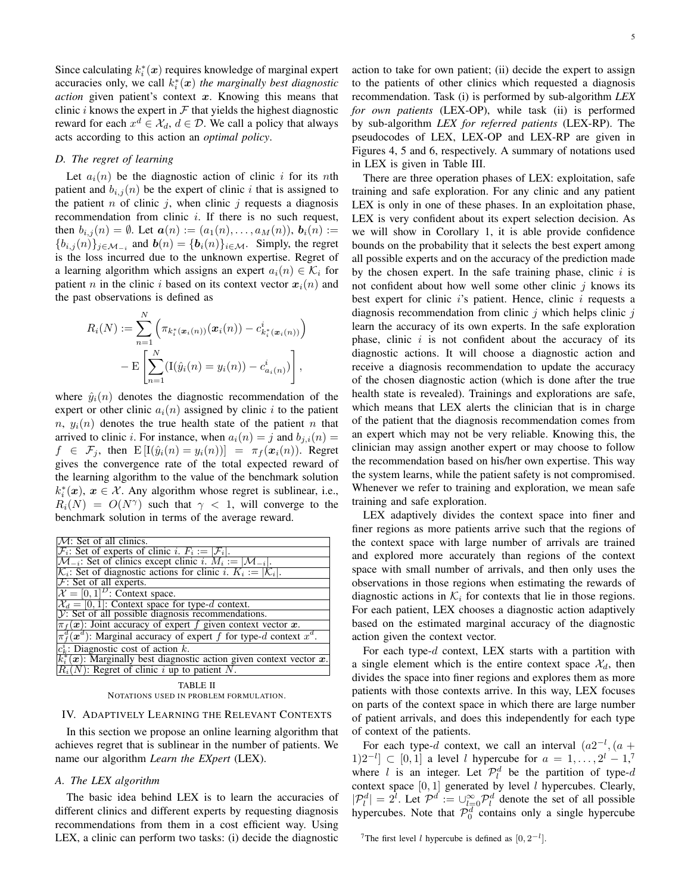Since calculating  $k_i^*(x)$  requires knowledge of marginal expert accuracies only, we call  $k_i^*(x)$  *the marginally best diagnostic action* given patient's context x. Knowing this means that clinic i knows the expert in  $\mathcal F$  that yields the highest diagnostic reward for each  $x^d \in \mathcal{X}_d$ ,  $d \in \mathcal{D}$ . We call a policy that always acts according to this action an *optimal policy*.

# *D. The regret of learning*

Let  $a_i(n)$  be the diagnostic action of clinic i for its nth patient and  $b_{i,j}(n)$  be the expert of clinic i that is assigned to the patient  $n$  of clinic  $j$ , when clinic  $j$  requests a diagnosis recommendation from clinic  $i$ . If there is no such request, then  $b_{i,j}(n) = \emptyset$ . Let  $a(n) := (a_1(n), \ldots, a_M(n)), b_i(n) :=$  ${b_{i,j}(n)}_{j \in \mathcal{M}_{-i}}$  and  $b(n) = {b_i(n)}_{i \in \mathcal{M}}$ . Simply, the regret is the loss incurred due to the unknown expertise. Regret of a learning algorithm which assigns an expert  $a_i(n) \in \mathcal{K}_i$  for patient n in the clinic i based on its context vector  $x_i(n)$  and the past observations is defined as

$$
R_i(N) := \sum_{n=1}^N \left( \pi_{k_i^*(\boldsymbol{x}_i(n))}(\boldsymbol{x}_i(n)) - c_{k_i^*(\boldsymbol{x}_i(n))}^i \right)
$$

$$
- \mathbb{E} \left[ \sum_{n=1}^N (\mathbf{I}(\hat{y}_i(n) = y_i(n)) - c_{a_i(n)}^i) \right],
$$

where  $\hat{y}_i(n)$  denotes the diagnostic recommendation of the expert or other clinic  $a_i(n)$  assigned by clinic i to the patient  $n, y_i(n)$  denotes the true health state of the patient n that arrived to clinic *i*. For instance, when  $a_i(n) = j$  and  $b_{i,i}(n) = j$  $f \in \mathcal{F}_j$ , then  $E[I(\hat{y}_i(n) = y_i(n))] = \pi_f(\mathbf{x}_i(n))$ . Regret gives the convergence rate of the total expected reward of the learning algorithm to the value of the benchmark solution  $k_i^*(x)$ ,  $x \in \mathcal{X}$ . Any algorithm whose regret is sublinear, i.e.,  $R_i(N) = O(N^{\gamma})$  such that  $\gamma < 1$ , will converge to the benchmark solution in terms of the average reward.

| $\mathcal{M}$ : Set of all clinics.                                                          |
|----------------------------------------------------------------------------------------------|
| $ \mathcal{F}_i $ : Set of experts of clinic i. $F_i :=  \mathcal{F}_i $ .                   |
| $\mathcal{M}_{-i}$ : Set of clinics except clinic i. $M_i :=  \mathcal{M}_{-i} $ .           |
| $\mathcal{K}_i$ : Set of diagnostic actions for clinic i. $K_i :=  \mathcal{K}_i $ .         |
| $F$ : Set of all experts.                                                                    |
| $\mathcal{X} = [0, 1]^D$ : Context space.                                                    |
| $\mathcal{X}_d = [0, 1]$ : Context space for type-d context.                                 |
| V: Set of all possible diagnosis recommendations.                                            |
| $\pi_f(\boldsymbol{x})$ : Joint accuracy of expert f given context vector $\boldsymbol{x}$ . |
| $\pi_f^d(\boldsymbol{x}^d)$ : Marginal accuracy of expert f for type-d context $x^d$ .       |
| $c_k^i$ : Diagnostic cost of action k.                                                       |
| $k_i^*(x)$ : Marginally best diagnostic action given context vector x.                       |
| $\overline{R_i(N)}$ : Regret of clinic i up to patient N.                                    |
|                                                                                              |

TABLE II NOTATIONS USED IN PROBLEM FORMULATION.

#### IV. ADAPTIVELY LEARNING THE RELEVANT CONTEXTS

In this section we propose an online learning algorithm that achieves regret that is sublinear in the number of patients. We name our algorithm *Learn the EXpert* (LEX).

# *A. The LEX algorithm*

The basic idea behind LEX is to learn the accuracies of different clinics and different experts by requesting diagnosis recommendations from them in a cost efficient way. Using LEX, a clinic can perform two tasks: (i) decide the diagnostic

action to take for own patient; (ii) decide the expert to assign to the patients of other clinics which requested a diagnosis recommendation. Task (i) is performed by sub-algorithm *LEX for own patients* (LEX-OP), while task (ii) is performed by sub-algorithm *LEX for referred patients* (LEX-RP). The pseudocodes of LEX, LEX-OP and LEX-RP are given in Figures 4, 5 and 6, respectively. A summary of notations used in LEX is given in Table III.

There are three operation phases of LEX: exploitation, safe training and safe exploration. For any clinic and any patient LEX is only in one of these phases. In an exploitation phase, LEX is very confident about its expert selection decision. As we will show in Corollary 1, it is able provide confidence bounds on the probability that it selects the best expert among all possible experts and on the accuracy of the prediction made by the chosen expert. In the safe training phase, clinic  $i$  is not confident about how well some other clinic  $j$  knows its best expert for clinic  $i$ 's patient. Hence, clinic  $i$  requests a diagnosis recommendation from clinic  $i$  which helps clinic  $i$ learn the accuracy of its own experts. In the safe exploration phase, clinic  $i$  is not confident about the accuracy of its diagnostic actions. It will choose a diagnostic action and receive a diagnosis recommendation to update the accuracy of the chosen diagnostic action (which is done after the true health state is revealed). Trainings and explorations are safe, which means that LEX alerts the clinician that is in charge of the patient that the diagnosis recommendation comes from an expert which may not be very reliable. Knowing this, the clinician may assign another expert or may choose to follow the recommendation based on his/her own expertise. This way the system learns, while the patient safety is not compromised. Whenever we refer to training and exploration, we mean safe training and safe exploration.

LEX adaptively divides the context space into finer and finer regions as more patients arrive such that the regions of the context space with large number of arrivals are trained and explored more accurately than regions of the context space with small number of arrivals, and then only uses the observations in those regions when estimating the rewards of diagnostic actions in  $\mathcal{K}_i$  for contexts that lie in those regions. For each patient, LEX chooses a diagnostic action adaptively based on the estimated marginal accuracy of the diagnostic action given the context vector.

For each type- $d$  context, LEX starts with a partition with a single element which is the entire context space  $\mathcal{X}_d$ , then divides the space into finer regions and explores them as more patients with those contexts arrive. In this way, LEX focuses on parts of the context space in which there are large number of patient arrivals, and does this independently for each type of context of the patients.

For each type-d context, we call an interval  $(a2^{-l}, (a +$  $[1]2^{-l} \subset [0,1]$  a level l hypercube for  $a = 1, \ldots, 2^l - 1,$ <sup>7</sup> where l is an integer. Let  $\mathcal{P}_l^d$  be the partition of type-d context space  $[0, 1]$  generated by level  $l$  hypercubes. Clearly,  $|\mathcal{P}_l^d| = 2^l$ . Let  $\mathcal{P}^d := \cup_{l=0}^{\infty} \mathcal{P}_l^d$  denote the set of all possible hypercubes. Note that  $P_0^d$  contains only a single hypercube

<sup>&</sup>lt;sup>7</sup>The first level l hypercube is defined as  $[0, 2^{-l}]$ .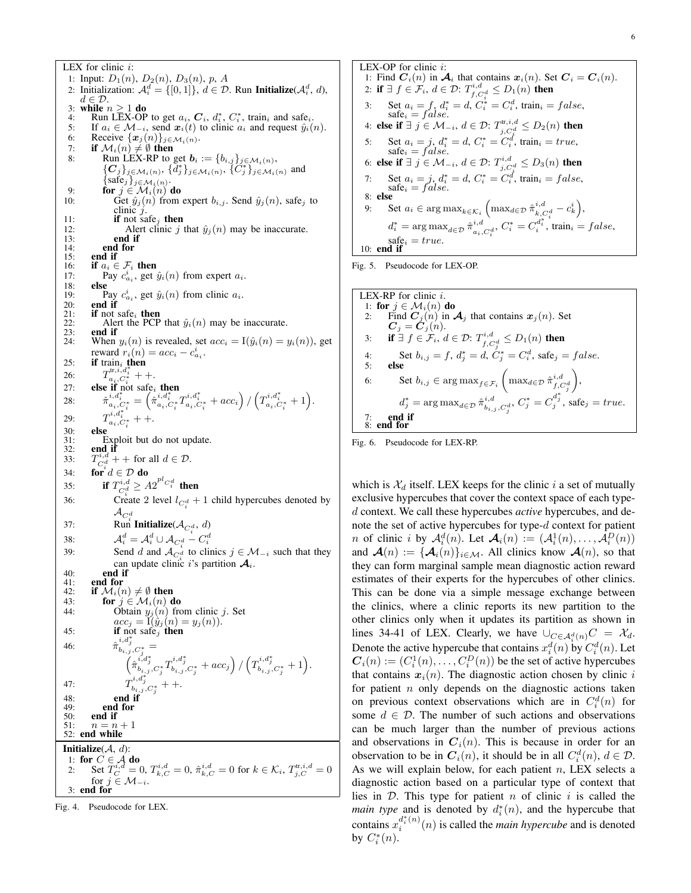LEX for clinic  $i$ : 1: Input:  $D_1(n)$ ,  $D_2(n)$ ,  $D_3(n)$ ,  $p$ , A 2: Initialization:  $\mathcal{A}_i^d = \{ [0,1] \}, \ d \in \mathcal{D}$ . Run Initialize( $\mathcal{A}_i^d$ , d),  $d \in \mathcal{D}$ 3: while  $n > 1$  do 4: Run LEX-OP to get  $a_i$ ,  $C_i$ ,  $d_i^*$ ,  $C_i^*$ , train<sub>i</sub> and safe<sub>i</sub>. 5: If  $a_i \in M_{-i}$ , send  $\mathbf{x}_i(t)$  to clinic  $a_i$  and request  $\hat{y}_i(n)$ .<br>6: Receive  $\{\mathbf{x}_i(n)\}_{i \in M_i(n)}$ . 6: Receive  $\{x_j(n)\}_{j\in\mathcal{M}_i(n)}$ .<br>7: **if**  $\mathcal{M}_i(n) \neq \emptyset$  then 7: **if**  $\mathcal{M}_i(n) \neq \emptyset$  then<br>8: Run LEX-RP to 8: Run LEX-RP to get  $\mathbf{b}_i := \{b_{i,j}\}_{j \in \mathcal{M}_i(n)}$ ,  ${C_j}_{j \in \mathcal{M}_i(n)}, \{d_j^*\}_{j \in \mathcal{M}_i(n)}, \{C_j^*\}_{j \in \mathcal{M}_i(n)}$  and  $\{\text{safe}_j\}_{j \in \mathcal{M}_i(n)}$ . 9: **for**  $j \in \mathcal{M}_i(n)$  do 10: Get  $\hat{y}_j(n)$  from expert  $b_{i,j}$ . Send  $\hat{y}_j(n)$ , safe<sub>j</sub> to clinic j. 11: **if** not safe<sub>j</sub> **then**<br>12: **Alert** clinic  $j$ 12: Alert clinic j that  $\hat{y}_j(n)$  may be inaccurate.<br>13: **end if** end if 14: **end for**<br>15: **end if** 15: **end if**  $16$ : **if**  $a_i \in$ 16: **if**  $a_i \in \mathcal{F}_i$  then<br>17: Pay  $c_{i}^i$ , get 17: Pay  $c_{a_i}^i$ , get  $\hat{y}_i(n)$  from expert  $a_i$ . 18: **else**<br>19: **P** 19: Pay  $c_{a_i}^i$ , get  $\hat{y}_i(n)$  from clinic  $a_i$ . 20: **end if**  $21$ : **if** not s 21: **if** not safe<sub>i</sub> then<br>22: Alert the PCP 22: Alert the PCP that  $\hat{y}_i(n)$  may be inaccurate.<br>23: end if 23: **end if**  $24$ : When When  $y_i(n)$  is revealed, set  $acc_i = I(\hat{y}_i(n) = y_i(n))$ , get reward  $r_i(n) = acc_i - c_{a_i}^i$ . 25: **if** train<sub>i</sub> then 26:  $T_{a_i, C_i^*}^{\text{tr}, i, d_i^*}$  + +. 27: else if not safe<sub>i</sub> then 28:  $\begin{array}{l} \begin{array}{l} \begin{array}{l} \begin{array}{l} i,d_i^* \end{array} \end{array} = \begin{pmatrix} \dot{r}_{i},d_i^* \end{array} + T_{a_i,C_i^*}^{i,d_i^*} + x_{a_i,C_i^*}^{i,d_i^*} + \end{array} \begin{array}{l} \begin{array}{l} \begin{array}{l} \end{array} \end{array} \begin{array}{l} \begin{array}{l} \end{array} \end{array} \begin{array}{l} \begin{array}{l} \end{array} \end{array} \begin{array}{l} \begin{array}{l} \end{array} \end{array} \begin{array}{l} \begin{array$  $29:$  $a_i, a_i^* + +$ . 30: **else**<br>31: **E** 31: Exploit but do not update.<br>32: **end if** end, if  $33:$  $\sum_{C_i^d} d^T +$  for all  $d \in \mathcal{D}$ . 34: for  $d \in \mathcal{D}$  do 35: if  $T_{C_i^d}^{i,d} \ge A 2^{pl} C_i^d$  then 36: Create 2 level  $l_{C_i^d}$  + 1 child hypercubes denoted by  $\mathcal{A}_{C_i^d}$ <br>37: Run Initialize( $\mathcal{A}_{C_i^d}$ , *d*) 38:  $\mathcal{A}_i^d = \mathcal{A}_i^d \cup \mathcal{A}_{C_i^d} - C_i^d$ <br>
39: Send d and  $\mathcal{A}_{C_i^d}$  to clinics  $j \in \mathcal{M}_{-i}$  such that they can update clinic i's partition  $\mathcal{A}_i$ .  $40:$  end if  $41:$  end for 41: **end for**<br>42: **if**  $M_i(n)$ 42: if  $\mathcal{M}_i(n) \neq \emptyset$  then<br>43: for  $j \in \mathcal{M}_i(n)$  d for  $j \in \mathcal{M}_i(n)$  do 44: Obtain  $y_j(n)$  from clinic j. Set  $acc_j = \tilde{I}(\hat{y}_j(n) = y_j(n)).$ <br>if not safe<sub>j</sub> then 45: **if** not safe<sub>j</sub> then 46:  $\hat{\pi}_{b_{i,j},C^*_{j}}^{i,d^*_{j}} =$  $\left(\hat{\pi}_{b_{i,j},C^{*}_{j}}^{i,d^{*}_{j}}T^{i,d^{*}_{j}}_{b_{i,j},C^{*}_{j}}+acc_{j}\right)/\left(T^{i,d^{*}_{j}}_{b_{i,j},C^{*}_{j}}+1\right).$ 47:  $T^{i,d^*_j}_{b_{i,j},C^*_j}$  + +. 48: end if  $49:$  end for  $50:$  end if 50: **end if**<br>51:  $n \equiv n$ 51:  $n = n + 1$ <br>52: **end while** end while **Initialize** $(A, d)$ : 1: for  $C \in \mathcal{A}$  do 2: Set  $\overline{T}_{C}^{i,d}=0, T_{k,C}^{i,d}=0, \hat{\pi}_{k,C}^{i,d}=0$  for  $k \in \mathcal{K}_i, T_{j,C}^{\text{tr},i,d}=0$ for  $j \in \mathcal{M}_{-i}$ . 3: end for

Fig. 4. Pseudocode for LEX.

LEX-OP for clinic i: 1: Find  $C_i(n)$  in  $\mathcal{A}_i$  that contains  $\mathbf{x}_i(n)$ . Set  $\mathbf{C}_i = \mathbf{C}_i(n)$ . 2: if  $\exists f \in \mathcal{F}_i, d \in \mathcal{D}$ :  $T^{i,d}_{f,C^d_*} \leq D_1(n)$  then 3: Set  $a_i = f, d_i^* = d, C_i^* = C_i^d$ , train<sub>i</sub> = f alse, safe<sub>i</sub> = f alse. 4: else if ∃  $j \in \mathcal{M}_{-i}, d \in \mathcal{D}$ :  $T^{\text{tr},i,d}_{j,C^d_j} \leq D_2(n)$  then 5: Set  $a_i = j$ ,  $d_i^* = d$ ,  $C_i^* = C_i^d$ , train<sub>i</sub> = true, safe<sub>i</sub> = false. 6: else if  $\exists j \in \mathcal{M}_{-i}, d \in \mathcal{D}$ :  $T^{i,d}_{j,C^d_s} \leq D_3(n)$  then 7: Set  $a_i = j$ ,  $d_i^* = d$ ,  $C_i^* = C_i^d$ , train<sub>i</sub> = false, safe<sub>i</sub> = false. 8: else 9: Set  $a_i \in \arg \max_{k \in \mathcal{K}_i} \left( \max_{d \in \mathcal{D}} \hat{\pi}_{k, C_i^d}^{i, d} - c_k^i \right),$  $d_i^* = \arg \max_{d \in \mathcal{D}} \hat{\pi}_{a_i, C_i^d}^{i, d}, C_i^* = C_i^{d_i^*}, \text{train}_i = false,$  $\text{safe}_i = true.$ 10: end if

Fig. 5. Pseudocode for LEX-OP.





which is  $\mathcal{X}_d$  itself. LEX keeps for the clinic i a set of mutually exclusive hypercubes that cover the context space of each typed context. We call these hypercubes *active* hypercubes, and denote the set of active hypercubes for type-d context for patient *n* of clinic *i* by  $\mathcal{A}_i^d(n)$ . Let  $\mathcal{A}_i(n) := (\mathcal{A}_i^1(n), \dots, \mathcal{A}_i^D(n))$ and  $\mathcal{A}(n) := {\mathcal{A}_{i}(n)}_{i \in \mathcal{M}}$ . All clinics know  $\mathcal{A}(n)$ , so that they can form marginal sample mean diagnostic action reward estimates of their experts for the hypercubes of other clinics. This can be done via a simple message exchange between the clinics, where a clinic reports its new partition to the other clinics only when it updates its partition as shown in lines 34-41 of LEX. Clearly, we have  $\bigcup_{C \in \mathcal{A}_{\alpha}^d(n)} C = \mathcal{X}_d$ . Denote the active hypercube that contains  $x_i^d(n)$  by  $C_i^d(n)$ . Let  $\boldsymbol{C}_i(n) := (C_i^1(n), \dots, C_i^D(n))$  be the set of active hypercubes that contains  $x_i(n)$ . The diagnostic action chosen by clinic i for patient  $n$  only depends on the diagnostic actions taken on previous context observations which are in  $C_i^d(n)$  for some  $d \in \mathcal{D}$ . The number of such actions and observations can be much larger than the number of previous actions and observations in  $C_i(n)$ . This is because in order for an observation to be in  $C_i(n)$ , it should be in all  $C_i^d(n)$ ,  $d \in \mathcal{D}$ . As we will explain below, for each patient  $n$ , LEX selects a diagnostic action based on a particular type of context that lies in  $D$ . This type for patient n of clinic i is called the *main type* and is denoted by  $d_i^*(n)$ , and the hypercube that contains  $x_i^{d_i^*(n)}$  $\binom{a_i(n)}{i}(n)$  is called the *main hypercube* and is denoted by  $C_i^*(n)$ .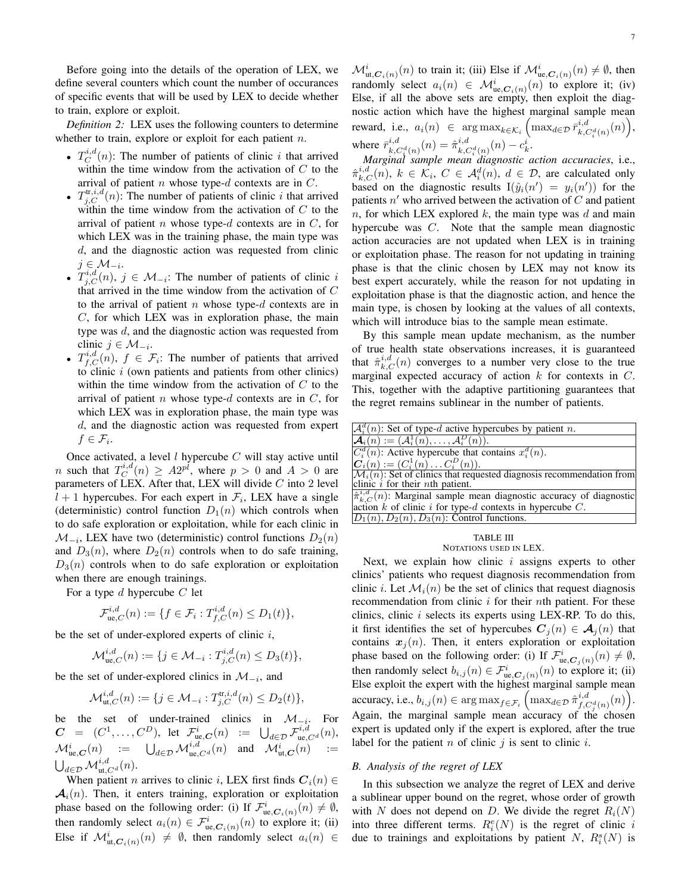Before going into the details of the operation of LEX, we define several counters which count the number of occurances of specific events that will be used by LEX to decide whether to train, explore or exploit.

*Definition 2:* LEX uses the following counters to determine whether to train, explore or exploit for each patient  $n$ .

- $T_C^{i,d}(n)$ : The number of patients of clinic i that arrived within the time window from the activation of  $C$  to the arrival of patient  $n$  whose type- $d$  contexts are in  $C$ .
- $T_{j,C}^{\text{tr},i,d}(n)$ : The number of patients of clinic i that arrived within the time window from the activation of  $C$  to the arrival of patient n whose type-d contexts are in  $C$ , for which LEX was in the training phase, the main type was d, and the diagnostic action was requested from clinic  $j \in {\cal M}_{-i}.$
- $T_{j,C}^{i,d}(n)$ ,  $j \in \mathcal{M}_{-i}$ : The number of patients of clinic i that arrived in the time window from the activation of C to the arrival of patient  $n$  whose type- $d$  contexts are in  $C$ , for which LEX was in exploration phase, the main type was d, and the diagnostic action was requested from clinic  $j \in \mathcal{M}_{-i}$ .
- $T_{f,C}^{i,d}(n)$ ,  $f \in \mathcal{F}_i$ : The number of patients that arrived to clinic  $i$  (own patients and patients from other clinics) within the time window from the activation of  $C$  to the arrival of patient  $n$  whose type- $d$  contexts are in  $C$ , for which LEX was in exploration phase, the main type was d, and the diagnostic action was requested from expert  $f \in \mathcal{F}_i$ .

Once activated, a level  $l$  hypercube  $C$  will stay active until *n* such that  $T_C^{i,d}(n) \geq A2^{pl}$ , where  $p > 0$  and  $A > 0$  are parameters of LEX. After that, LEX will divide  $C$  into 2 level  $l + 1$  hypercubes. For each expert in  $\mathcal{F}_i$ , LEX have a single (deterministic) control function  $D_1(n)$  which controls when to do safe exploration or exploitation, while for each clinic in  $\mathcal{M}_{-i}$ , LEX have two (deterministic) control functions  $D_2(n)$ and  $D_3(n)$ , where  $D_2(n)$  controls when to do safe training,  $D_3(n)$  controls when to do safe exploration or exploitation when there are enough trainings.

For a type d hypercube  $C$  let

$$
\mathcal{F}_{\text{ue},C}^{i,d}(n) := \{ f \in \mathcal{F}_i : T_{f,C}^{i,d}(n) \le D_1(t) \},
$$

be the set of under-explored experts of clinic  $i$ ,

$$
\mathcal{M}^{i,d}_{\text{ue},C}(n) := \{ j \in \mathcal{M}_{-i} : T^{i,d}_{j,C}(n) \le D_3(t) \},
$$

be the set of under-explored clinics in  $\mathcal{M}_{-i}$ , and

$$
\mathcal{M}_{\mathrm{ut},C}^{i,d}(n) := \{ j \in \mathcal{M}_{-i} : T_{j,C}^{\mathrm{tr},i,d}(n) \le D_2(t) \},
$$

be the set of under-trained clinics in  $\mathcal{M}_{-i}$ . For  $\boldsymbol{C}$  =  $(C^1,\ldots,C^D),$  let  $\mathcal{F}^i_{\text{ue},\boldsymbol{C}}(n)$  :=  $\bigcup_{d\in\mathcal{D}}\mathcal{F}^{i,d}_{\text{ue},C^d}(n),$  $\mathcal{M}^i_{\text{ue},\boldsymbol{C}}(n) \quad := \quad \bigcup_{d \in \mathcal{D}} \mathcal{M}^{i,d}_{\text{ue},C^d}(n) \quad \text{and} \quad \mathcal{M}^i_{\text{ut},\boldsymbol{C}}(n) \quad :=$  $\bigcup_{d \in \mathcal{D}} \mathcal{M}^{i,d}_{\mathrm{ut},C^d}(n).$ 

When patient *n* arrives to clinic *i*, LEX first finds  $C_i(n) \in$  $A_i(n)$ . Then, it enters training, exploration or exploitation phase based on the following order: (i) If  $\mathcal{F}^i_{\text{ue},\mathcal{C}_i(n)}(n) \neq \emptyset$ , then randomly select  $a_i(n) \in \mathcal{F}_{\mathfrak{ue}, \mathbf{C}_i(n)}^i(n)$  to explore it; (ii) Else if  $\mathcal{M}^{i}_{\text{ut},\mathbf{C}_{i}(n)}(n) \neq \emptyset$ , then randomly select  $a_{i}(n) \in$ 

 $\mathcal{M}^i_{\text{ut},\mathbf{C}_i(n)}(n)$  to train it; (iii) Else if  $\mathcal{M}^i_{\text{ue},\mathbf{C}_i(n)}(n) \neq \emptyset$ , then randomly select  $a_i(n) \in \mathcal{M}_{\text{ue},\mathcal{C}_i(n)}^i(n)$  to explore it; (iv) Else, if all the above sets are empty, then exploit the diagnostic action which have the highest marginal sample mean reward, i.e.,  $a_i(n) \in \arg \max_{k \in \mathcal{K}_i} \left( \max_{d \in \mathcal{D}} \bar{r}_{k,C_i^d(n)}^{i,d}(n) \right),$ where  $\bar{r}_{k,C_{i}^{d}(n)}^{i,d}(n) = \hat{\pi}_{k,C_{i}^{d}(n)}^{i,d}(n) - c_{k}^{i}.$ 

*Marginal sample mean diagnostic action accuracies*, i.e.,  $\hat{\pi}_{k,C}^{i,d}(n)$ ,  $k \in \mathcal{K}_i$ ,  $C \in \mathcal{A}_i^d(n)$ ,  $d \in \mathcal{D}$ , are calculated only based on the diagnostic results  $I(\hat{y}_i(n') = y_i(n'))$  for the patients  $n'$  who arrived between the activation of  $C$  and patient n, for which LEX explored k, the main type was d and main hypercube was C. Note that the sample mean diagnostic action accuracies are not updated when LEX is in training or exploitation phase. The reason for not updating in training phase is that the clinic chosen by LEX may not know its best expert accurately, while the reason for not updating in exploitation phase is that the diagnostic action, and hence the main type, is chosen by looking at the values of all contexts, which will introduce bias to the sample mean estimate.

By this sample mean update mechanism, as the number of true health state observations increases, it is guaranteed that  $\hat{\pi}_{k,C}^{i,d}(n)$  converges to a number very close to the true marginal expected accuracy of action  $k$  for contexts in  $C$ . This, together with the adaptive partitioning guarantees that the regret remains sublinear in the number of patients.

| $\mathcal{A}_{i}^{d}(n)$ : Set of type-d active hypercubes by patient n.                                                                     |
|----------------------------------------------------------------------------------------------------------------------------------------------|
| $\mathcal{A}_i(n) := (\mathcal{A}_i^1(n), \ldots, \mathcal{A}_i^D(n)).$                                                                      |
| $C_i^d(n)$ : Active hypercube that contains $x_i^d(n)$ .                                                                                     |
| $C_i(n) := (C_i^1(n) \dots C_i^D(n)).$                                                                                                       |
| $\mathcal{M}_i(n)$ : Set of clinics that requested diagnosis recommendation from                                                             |
| clinic $\hat{i}$ for their <i>nth</i> patient.                                                                                               |
| $\hat{\pi}_{k,C}^{i,d}(n)$ : Marginal sample mean diagnostic accuracy of diagnostic action k of clinic i for type-d contexts in hypercube C. |
|                                                                                                                                              |
| $D_1(n)$ , $D_2(n)$ , $D_3(n)$ : Control functions.                                                                                          |
|                                                                                                                                              |

#### TABLE III NOTATIONS USED IN LEX.

Next, we explain how clinic  $i$  assigns experts to other clinics' patients who request diagnosis recommendation from clinic *i*. Let  $\mathcal{M}_i(n)$  be the set of clinics that request diagnosis recommendation from clinic  $i$  for their nth patient. For these clinics, clinic  $i$  selects its experts using LEX-RP. To do this, it first identifies the set of hypercubes  $C_i(n) \in \mathcal{A}_i(n)$  that contains  $x_j(n)$ . Then, it enters exploration or exploitation phase based on the following order: (i) If  $\mathcal{F}^i_{\text{ue},\mathcal{C}_j(n)}(n) \neq \emptyset$ , then randomly select  $b_{i,j}(n) \in \mathcal{F}^i_{\text{ue},\mathcal{C}_j(n)}(n)$  to explore it; (ii) Else exploit the expert with the highest marginal sample mean accuracy, i.e.,  $b_{i,j}(n) \in \arg \max_{f \in \mathcal{F}_i} \left( \max_{d \in \mathcal{D}} \hat{\pi}_{f, C_d^d(n)}^{i,d}(n) \right)$ . Again, the marginal sample mean accuracy of the chosen expert is updated only if the expert is explored, after the true label for the patient  $n$  of clinic  $j$  is sent to clinic  $i$ .

## *B. Analysis of the regret of LEX*

In this subsection we analyze the regret of LEX and derive a sublinear upper bound on the regret, whose order of growth with N does not depend on D. We divide the regret  $R_i(N)$ into three different terms.  $R_i^e(N)$  is the regret of clinic i due to trainings and exploitations by patient N,  $R_i^s(N)$  is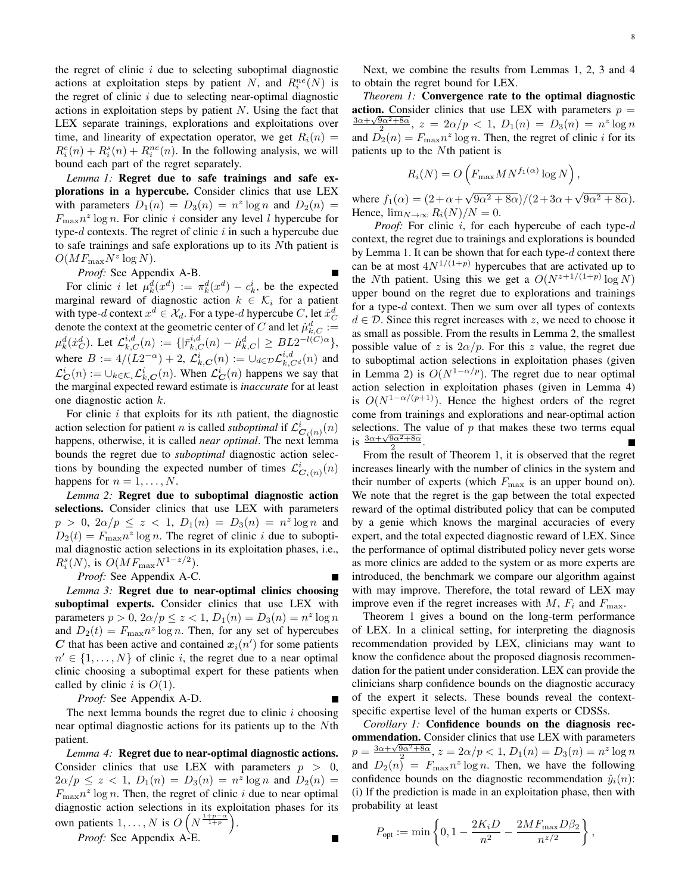the regret of clinic  $i$  due to selecting suboptimal diagnostic actions at exploitation steps by patient N, and  $R_i^{ne}(N)$  is the regret of clinic  $i$  due to selecting near-optimal diagnostic actions in exploitation steps by patient  $N$ . Using the fact that LEX separate trainings, explorations and exploitations over time, and linearity of expectation operator, we get  $R_i(n) =$  $R_i^e(n) + R_i^s(n) + R_i^{ne}(n)$ . In the following analysis, we will bound each part of the regret separately.

*Lemma 1:* Regret due to safe trainings and safe explorations in a hypercube. Consider clinics that use LEX with parameters  $D_1(n) = D_3(n) = n^2 \log n$  and  $D_2(n) =$  $F_{\text{max}} n^z \log n$ . For clinic i consider any level l hypercube for type- $d$  contexts. The regret of clinic  $i$  in such a hypercube due to safe trainings and safe explorations up to its Nth patient is  $O(MF_{\text{max}}N^z \log N)$ .

*Proof:* See Appendix A-B.

For clinic *i* let  $\mu_k^d(x^d) := \pi_k^d(x^d) - c_k^i$ , be the expected marginal reward of diagnostic action  $k \in \mathcal{K}_i$  for a patient with type-d context  $x^d \in \mathcal{X}_d$ . For a type-d hypercube C, let  $\dot{x}_C^d$ with type-a context  $x \in \alpha_d$ . For a type-a hypercube C, let  $x_C$  denote the context at the geometric center of C and let  $\mu_{k,C}^d :=$  $\mu_k^d(\dot{x}_C^d). \text{ Let } \mathcal{L}_{k,C}^{i,d}(n) := \{|\bar{r}_{k,C}^{i,d}(n) - \dot{\mu}_{k,C}^d| \geq B L 2^{-l(C) \alpha} \},$ where  $B := 4/(L2^{-\alpha}) + 2$ ,  $\mathcal{L}_{k,C}^{i}(n) := \cup_{d \in \mathcal{D}} \mathcal{L}_{k,C^d}^{i,d}(n)$  and  $\mathcal{L}_{\mathbf{C}}^{i}(n) := \cup_{k \in \mathcal{K}_{i}} \mathcal{L}_{k,\mathbf{C}}^{i}(n)$ . When  $\mathcal{L}_{\mathbf{C}}^{i}(n)$  happens we say that the marginal expected reward estimate is *inaccurate* for at least one diagnostic action k.

For clinic  $i$  that exploits for its  $n$ th patient, the diagnostic action selection for patient *n* is called *suboptimal* if  $\mathcal{L}^i_{\mathbf{C}_i(n)}(n)$ happens, otherwise, it is called *near optimal*. The next lemma bounds the regret due to *suboptimal* diagnostic action selections by bounding the expected number of times  $\mathcal{L}^i_{\mathbf{C}_i(n)}(n)$ happens for  $n = 1, \ldots, N$ .

*Lemma 2:* Regret due to suboptimal diagnostic action selections. Consider clinics that use LEX with parameters  $p > 0, 2\alpha/p \le z < 1, D_1(n) = D_3(n) = n^z \log n$  and  $D_2(t) = F_{\text{max}} n^z \log n$ . The regret of clinic *i* due to suboptimal diagnostic action selections in its exploitation phases, i.e.,  $R_i^s(N)$ , is  $O(MF_{\text{max}}N^{1-z/2})$ .

*Proof:* See Appendix A-C.

*Lemma 3:* Regret due to near-optimal clinics choosing suboptimal experts. Consider clinics that use LEX with parameters  $p > 0$ ,  $2\alpha/p \le z < 1$ ,  $D_1(n) = D_3(n) = n^z \log n$ and  $D_2(t) = F_{\text{max}} n^z \log n$ . Then, for any set of hypercubes C that has been active and contained  $x_i(n')$  for some patients  $n' \in \{1, \ldots, N\}$  of clinic *i*, the regret due to a near optimal clinic choosing a suboptimal expert for these patients when called by clinic i is  $O(1)$ .

*Proof:* See Appendix A-D.

The next lemma bounds the regret due to clinic  $i$  choosing near optimal diagnostic actions for its patients up to the Nth patient.

*Lemma 4:* Regret due to near-optimal diagnostic actions. Consider clinics that use LEX with parameters  $p > 0$ ,  $2\alpha/p \le z < 1$ ,  $D_1(n) = D_3(n) = n^z \log n$  and  $D_2(n) =$  $F_{\text{max}} n^z \log n$ . Then, the regret of clinic i due to near optimal diagnostic action selections in its exploitation phases for its own patients  $1, \ldots, N$  is  $O(N^{\frac{1+p-\alpha}{1+p}})$ .

*Proof:* See Appendix A-E.

Next, we combine the results from Lemmas 1, 2, 3 and 4 to obtain the regret bound for LEX.

*Theorem 1:* Convergence rate to the optimal diagnostic action. Consider clinics that use LEX with parameters  $p =$  $\frac{3\alpha+\sqrt{9\alpha^2+8\alpha}}{2}$ ,  $z = 2\alpha/p < 1$ ,  $D_1(n) = D_3(n) = n^2 \log n$ and  $\overline{D}_2(n) = F_{\text{max}} n^z \log n$ . Then, the regret of clinic *i* for its patients up to the Nth patient is

$$
R_i(N) = O\left(F_{\max} MN^{f_1(\alpha)} \log N\right),\,
$$

where  $f_1(\alpha) = (2 + \alpha +$  $\sqrt{9\alpha^2+8\alpha}$ )/ $(2+3\alpha+\sqrt{9\alpha^2+8\alpha})$ . Hence,  $\lim_{N\to\infty} R_i(N)/N = 0$ .

*Proof:* For clinic *i*, for each hypercube of each type-*d* context, the regret due to trainings and explorations is bounded by Lemma 1. It can be shown that for each type-d context there can be at most  $4N^{1/(1+p)}$  hypercubes that are activated up to the Nth patient. Using this we get a  $O(N^{z+1/(1+p)} \log N)$ upper bound on the regret due to explorations and trainings for a type-d context. Then we sum over all types of contexts  $d \in \mathcal{D}$ . Since this regret increases with z, we need to choose it as small as possible. From the results in Lemma 2, the smallest possible value of z is  $2\alpha/p$ . For this z value, the regret due to suboptimal action selections in exploitation phases (given in Lemma 2) is  $O(N^{1-\alpha/p})$ . The regret due to near optimal action selection in exploitation phases (given in Lemma 4) is  $O(N^{1-\alpha/(p+1)})$ . Hence the highest orders of the regret come from trainings and explorations and near-optimal action selections. The value of  $p$  that makes these two terms equal is  $\frac{3\alpha+\sqrt{9\alpha^2+8\alpha}}{2}$ .

From the result of Theorem 1, it is observed that the regret increases linearly with the number of clinics in the system and their number of experts (which  $F_{\text{max}}$  is an upper bound on). We note that the regret is the gap between the total expected reward of the optimal distributed policy that can be computed by a genie which knows the marginal accuracies of every expert, and the total expected diagnostic reward of LEX. Since the performance of optimal distributed policy never gets worse as more clinics are added to the system or as more experts are introduced, the benchmark we compare our algorithm against with may improve. Therefore, the total reward of LEX may improve even if the regret increases with M,  $F_i$  and  $F_{\text{max}}$ .

Theorem 1 gives a bound on the long-term performance of LEX. In a clinical setting, for interpreting the diagnosis recommendation provided by LEX, clinicians may want to know the confidence about the proposed diagnosis recommendation for the patient under consideration. LEX can provide the clinicians sharp confidence bounds on the diagnostic accuracy of the expert it selects. These bounds reveal the contextspecific expertise level of the human experts or CDSSs.

*Corollary 1:* Confidence bounds on the diagnosis recommendation. Consider clinics that use LEX with parameters  $p = \frac{3\alpha + \sqrt{9\alpha^2 + 8\alpha}}{2}$ ,  $z = 2\alpha/p < 1$ ,  $D_1(n) = D_3(n) = n^z \log n$ and  $D_2(n) = F_{\text{max}} n^z \log n$ . Then, we have the following confidence bounds on the diagnostic recommendation  $\hat{y}_i(n)$ : (i) If the prediction is made in an exploitation phase, then with probability at least

$$
P_{\text{opt}} := \min\left\{0, 1 - \frac{2K_i D}{n^2} - \frac{2 M F_{\text{max}} D \beta_2}{n^{z/2}}\right\},\,
$$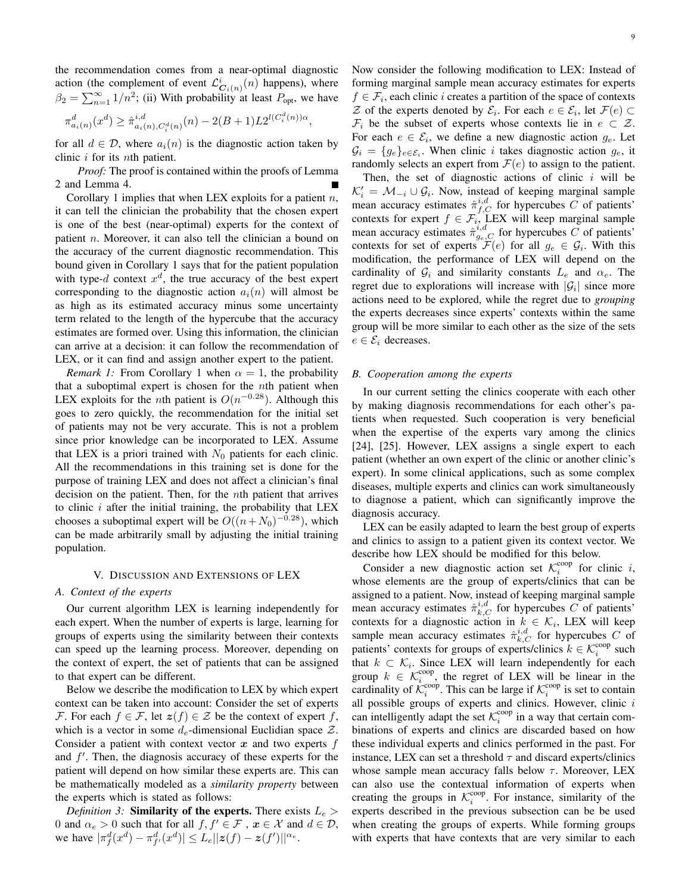the recommendation comes from a near-optimal diagnostic action (the complement of event  $\mathcal{L}^i_{\mathbf{C}_i(n)}(n)$  happens), where  $\beta_2 = \sum_{n=1}^{\infty} 1/n^2$ ; (ii) With probability at least  $P_{\text{opt}}$ , we have

$$
\pi_{a_i(n)}^d(x^d) \ge \hat{\pi}_{a_i(n), C_i^d(n)}^{i,d}(n) - 2(B+1)L2^{l(C_i^d(n))\alpha},
$$

for all  $d \in \mathcal{D}$ , where  $a_i(n)$  is the diagnostic action taken by clinic i for its nth patient.

*Proof:* The proof is contained within the proofs of Lemma 2 and Lemma 4.

Corollary 1 implies that when LEX exploits for a patient  $n$ , it can tell the clinician the probability that the chosen expert is one of the best (near-optimal) experts for the context of patient n. Moreover, it can also tell the clinician a bound on the accuracy of the current diagnostic recommendation. This bound given in Corollary 1 says that for the patient population with type-d context  $x^d$ , the true accuracy of the best expert corresponding to the diagnostic action  $a_i(n)$  will almost be as high as its estimated accuracy minus some uncertainty term related to the length of the hypercube that the accuracy estimates are formed over. Using this information, the clinician can arrive at a decision: it can follow the recommendation of LEX, or it can find and assign another expert to the patient.

*Remark 1:* From Corollary 1 when  $\alpha = 1$ , the probability that a suboptimal expert is chosen for the nth patient when LEX exploits for the *n*th patient is  $O(n^{-0.28})$ . Although this goes to zero quickly, the recommendation for the initial set of patients may not be very accurate. This is not a problem since prior knowledge can be incorporated to LEX. Assume that LEX is a priori trained with  $N_0$  patients for each clinic. All the recommendations in this training set is done for the purpose of training LEX and does not affect a clinician's final decision on the patient. Then, for the nth patient that arrives to clinic  $i$  after the initial training, the probability that  $LEX$ chooses a suboptimal expert will be  $O((n+N_0)^{-0.28})$ , which can be made arbitrarily small by adjusting the initial training population.

## V. DISCUSSION AND EXTENSIONS OF LEX

#### *A. Context of the experts*

Our current algorithm LEX is learning independently for each expert. When the number of experts is large, learning for groups of experts using the similarity between their contexts can speed up the learning process. Moreover, depending on the context of expert, the set of patients that can be assigned to that expert can be different.

Below we describe the modification to LEX by which expert context can be taken into account: Consider the set of experts F. For each  $f \in \mathcal{F}$ , let  $z(f) \in \mathcal{Z}$  be the context of expert f, which is a vector in some  $d_e$ -dimensional Euclidian space  $\mathcal{Z}$ . Consider a patient with context vector  $x$  and two experts  $f$ and  $f'$ . Then, the diagnosis accuracy of these experts for the patient will depend on how similar these experts are. This can be mathematically modeled as a *similarity property* between the experts which is stated as follows:

*Definition 3:* Similarity of the experts. There exists  $L_e$  > 0 and  $\alpha_e > 0$  such that for all  $f, f' \in \mathcal{F}$ ,  $x \in \mathcal{X}$  and  $d \in \mathcal{D}$ , we have  $|\pi_f^d(x^d) - \pi_{f'}^d(x^d)| \leq L_e ||z(f) - z(f')||^{\alpha_e}$ .

Now consider the following modification to LEX: Instead of forming marginal sample mean accuracy estimates for experts  $f \in \mathcal{F}_i$ , each clinic *i* creates a partition of the space of contexts Z of the experts denoted by  $\mathcal{E}_i$ . For each  $e \in \mathcal{E}_i$ , let  $\mathcal{F}(e) \subset$  $\mathcal{F}_i$  be the subset of experts whose contexts lie in  $e \subset \mathcal{Z}$ . For each  $e \in \mathcal{E}_i$ , we define a new diagnostic action  $g_e$ . Let  $\mathcal{G}_i = \{g_e\}_{e \in \mathcal{E}_i}$ . When clinic *i* takes diagnostic action  $g_e$ , it randomly selects an expert from  $\mathcal{F}(e)$  to assign to the patient.

Then, the set of diagnostic actions of clinic  $i$  will be  $\mathcal{K}'_i = \mathcal{M}_{-i} \cup \mathcal{G}_i$ . Now, instead of keeping marginal sample mean accuracy estimates  $\hat{\pi}_{f,C}^{i,d}$  for hypercubes C of patients' contexts for expert  $f \in \mathcal{F}_i$ , LEX will keep marginal sample mean accuracy estimates  $\hat{\pi}_{g_e,C}^{i,d}$  for hypercubes C of patients' contexts for set of experts  $\mathcal{F}(e)$  for all  $g_e \in \mathcal{G}_i$ . With this modification, the performance of LEX will depend on the cardinality of  $\mathcal{G}_i$  and similarity constants  $L_e$  and  $\alpha_e$ . The regret due to explorations will increase with  $|\mathcal{G}_i|$  since more actions need to be explored, while the regret due to *grouping* the experts decreases since experts' contexts within the same group will be more similar to each other as the size of the sets  $e \in \mathcal{E}_i$  decreases.

## *B. Cooperation among the experts*

In our current setting the clinics cooperate with each other by making diagnosis recommendations for each other's patients when requested. Such cooperation is very beneficial when the expertise of the experts vary among the clinics [24], [25]. However, LEX assigns a single expert to each patient (whether an own expert of the clinic or another clinic's expert). In some clinical applications, such as some complex diseases, multiple experts and clinics can work simultaneously to diagnose a patient, which can significantly improve the diagnosis accuracy.

LEX can be easily adapted to learn the best group of experts and clinics to assign to a patient given its context vector. We describe how LEX should be modified for this below.

Consider a new diagnostic action set  $\mathcal{K}_i^{\text{coop}}$  for clinic i, whose elements are the group of experts/clinics that can be assigned to a patient. Now, instead of keeping marginal sample mean accuracy estimates  $\hat{\pi}_{k,C}^{i,d}$  for hypercubes C of patients' contexts for a diagnostic action in  $k \in \mathcal{K}_i$ , LEX will keep sample mean accuracy estimates  $\hat{\pi}_{k,C}^{i,d}$  for hypercubes C of patients' contexts for groups of experts/clinics  $k \in \mathcal{K}_i^{\text{coop}}$  such that  $k \subset \mathcal{K}_i$ . Since LEX will learn independently for each group  $k \in \mathcal{K}_i^{\text{coop}}$ , the regret of LEX will be linear in the cardinality of  $\mathcal{K}_i^{\text{coop}}$ . This can be large if  $\mathcal{K}_i^{\text{coop}}$  is set to contain all possible groups of experts and clinics. However, clinic  $i$ can intelligently adapt the set  $\mathcal{K}_i^{\text{coop}}$  in a way that certain combinations of experts and clinics are discarded based on how these individual experts and clinics performed in the past. For instance, LEX can set a threshold  $\tau$  and discard experts/clinics whose sample mean accuracy falls below  $\tau$ . Moreover, LEX can also use the contextual information of experts when creating the groups in  $\mathcal{K}_i^{\text{coop}}$ . For instance, similarity of the experts described in the previous subsection can be be used when creating the groups of experts. While forming groups with experts that have contexts that are very similar to each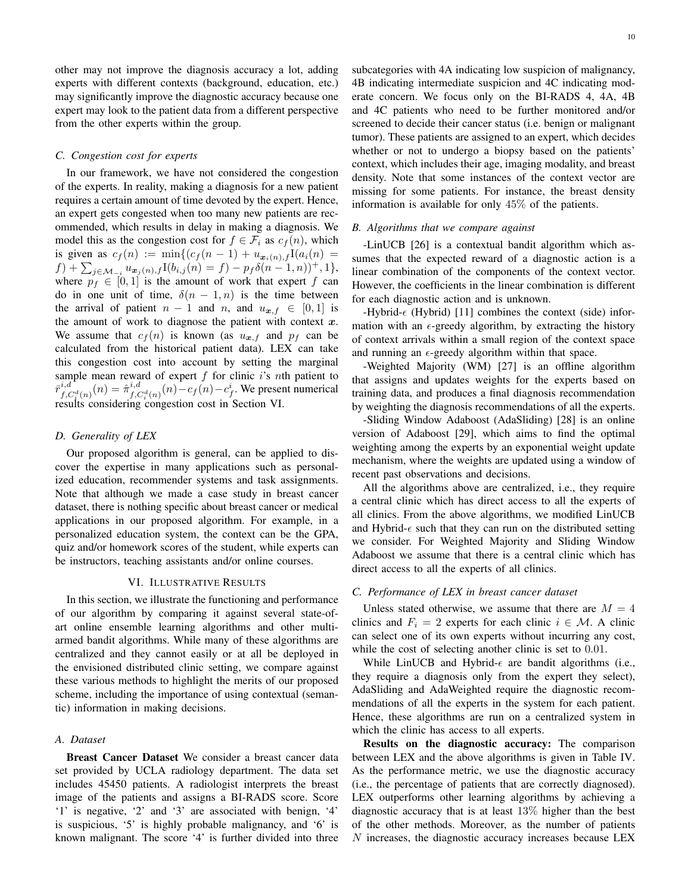other may not improve the diagnosis accuracy a lot, adding experts with different contexts (background, education, etc.) may significantly improve the diagnostic accuracy because one expert may look to the patient data from a different perspective from the other experts within the group.

# *C. Congestion cost for experts*

In our framework, we have not considered the congestion of the experts. In reality, making a diagnosis for a new patient requires a certain amount of time devoted by the expert. Hence, an expert gets congested when too many new patients are recommended, which results in delay in making a diagnosis. We model this as the congestion cost for  $f \in \mathcal{F}_i$  as  $c_f(n)$ , which is given as  $c_f(n) := \min\{(c_f(n-1) + u_{\mathbf{x}_i(n),f}I(a_i(n))\}$  $f) + \sum_{j \in \mathcal{M}_{-i}} u_{\boldsymbol{x}_j(n),f} I(b_{i,j}(n) = f) - p_f \delta(n-1,n)) + 1\},\$ where  $p_f \in [0, 1]$  is the amount of work that expert f can do in one unit of time,  $\delta(n-1,n)$  is the time between the arrival of patient  $n - 1$  and  $n$ , and  $u_{\boldsymbol{x},f} \in [0,1]$  is the amount of work to diagnose the patient with context  $x$ . We assume that  $c_f(n)$  is known (as  $u_{\mathbf{x},f}$  and  $p_f$  can be calculated from the historical patient data). LEX can take this congestion cost into account by setting the marginal sample mean reward of expert  $f$  for clinic  $i$ 's nth patient to  $\bar{r}_{f,C_i^d(n)}^{i,d}(n) = \hat{\pi}_{f,C_i^d(n)}^{i,d}(n) - c_f(n) - c_f^i$ . We present numerical results considering congestion cost in Section VI.

# *D. Generality of LEX*

Our proposed algorithm is general, can be applied to discover the expertise in many applications such as personalized education, recommender systems and task assignments. Note that although we made a case study in breast cancer dataset, there is nothing specific about breast cancer or medical applications in our proposed algorithm. For example, in a personalized education system, the context can be the GPA, quiz and/or homework scores of the student, while experts can be instructors, teaching assistants and/or online courses.

# VI. ILLUSTRATIVE RESULTS

In this section, we illustrate the functioning and performance of our algorithm by comparing it against several state-ofart online ensemble learning algorithms and other multiarmed bandit algorithms. While many of these algorithms are centralized and they cannot easily or at all be deployed in the envisioned distributed clinic setting, we compare against these various methods to highlight the merits of our proposed scheme, including the importance of using contextual (semantic) information in making decisions.

# *A. Dataset*

Breast Cancer Dataset We consider a breast cancer data set provided by UCLA radiology department. The data set includes 45450 patients. A radiologist interprets the breast image of the patients and assigns a BI-RADS score. Score '1' is negative, '2' and '3' are associated with benign, '4' is suspicious, '5' is highly probable malignancy, and '6' is known malignant. The score '4' is further divided into three subcategories with 4A indicating low suspicion of malignancy, 4B indicating intermediate suspicion and 4C indicating moderate concern. We focus only on the BI-RADS 4, 4A, 4B and 4C patients who need to be further monitored and/or screened to decide their cancer status (i.e. benign or malignant tumor). These patients are assigned to an expert, which decides whether or not to undergo a biopsy based on the patients' context, which includes their age, imaging modality, and breast density. Note that some instances of the context vector are missing for some patients. For instance, the breast density information is available for only 45% of the patients.

#### *B. Algorithms that we compare against*

-LinUCB [26] is a contextual bandit algorithm which assumes that the expected reward of a diagnostic action is a linear combination of the components of the context vector. However, the coefficients in the linear combination is different for each diagnostic action and is unknown.

-Hybrid- $\epsilon$  (Hybrid) [11] combines the context (side) information with an  $\epsilon$ -greedy algorithm, by extracting the history of context arrivals within a small region of the context space and running an  $\epsilon$ -greedy algorithm within that space.

-Weighted Majority (WM) [27] is an offline algorithm that assigns and updates weights for the experts based on training data, and produces a final diagnosis recommendation by weighting the diagnosis recommendations of all the experts.

-Sliding Window Adaboost (AdaSliding) [28] is an online version of Adaboost [29], which aims to find the optimal weighting among the experts by an exponential weight update mechanism, where the weights are updated using a window of recent past observations and decisions.

All the algorithms above are centralized, i.e., they require a central clinic which has direct access to all the experts of all clinics. From the above algorithms, we modified LinUCB and Hybrid- $\epsilon$  such that they can run on the distributed setting we consider. For Weighted Majority and Sliding Window Adaboost we assume that there is a central clinic which has direct access to all the experts of all clinics.

#### *C. Performance of LEX in breast cancer dataset*

Unless stated otherwise, we assume that there are  $M = 4$ clinics and  $F_i = 2$  experts for each clinic  $i \in \mathcal{M}$ . A clinic can select one of its own experts without incurring any cost, while the cost of selecting another clinic is set to  $0.01$ .

While LinUCB and Hybrid- $\epsilon$  are bandit algorithms (i.e., they require a diagnosis only from the expert they select), AdaSliding and AdaWeighted require the diagnostic recommendations of all the experts in the system for each patient. Hence, these algorithms are run on a centralized system in which the clinic has access to all experts.

Results on the diagnostic accuracy: The comparison between LEX and the above algorithms is given in Table IV. As the performance metric, we use the diagnostic accuracy (i.e., the percentage of patients that are correctly diagnosed). LEX outperforms other learning algorithms by achieving a diagnostic accuracy that is at least 13% higher than the best of the other methods. Moreover, as the number of patients N increases, the diagnostic accuracy increases because LEX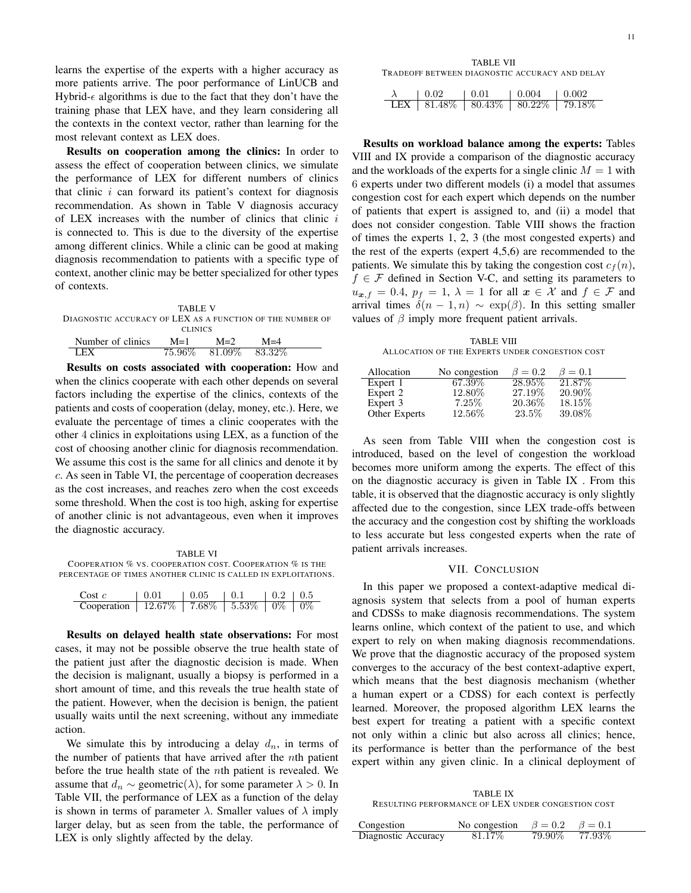learns the expertise of the experts with a higher accuracy as more patients arrive. The poor performance of LinUCB and Hybrid- $\epsilon$  algorithms is due to the fact that they don't have the training phase that LEX have, and they learn considering all the contexts in the context vector, rather than learning for the most relevant context as LEX does.

Results on cooperation among the clinics: In order to assess the effect of cooperation between clinics, we simulate the performance of LEX for different numbers of clinics that clinic  $i$  can forward its patient's context for diagnosis recommendation. As shown in Table V diagnosis accuracy of LEX increases with the number of clinics that clinic  $i$ is connected to. This is due to the diversity of the expertise among different clinics. While a clinic can be good at making diagnosis recommendation to patients with a specific type of context, another clinic may be better specialized for other types of contexts.

|                                                           | TABLE V |                         |       |  |  |
|-----------------------------------------------------------|---------|-------------------------|-------|--|--|
| DIAGNOSTIC ACCURACY OF LEX AS A FUNCTION OF THE NUMBER OF |         |                         |       |  |  |
| <b>CLINICS</b>                                            |         |                         |       |  |  |
| Number of clinics                                         | $M=1$   | $M=2$                   | $M=4$ |  |  |
| I FY                                                      |         | 75.96\% 81.09\% 83.32\% |       |  |  |

Results on costs associated with cooperation: How and when the clinics cooperate with each other depends on several factors including the expertise of the clinics, contexts of the patients and costs of cooperation (delay, money, etc.). Here, we evaluate the percentage of times a clinic cooperates with the other 4 clinics in exploitations using LEX, as a function of the cost of choosing another clinic for diagnosis recommendation. We assume this cost is the same for all clinics and denote it by c. As seen in Table VI, the percentage of cooperation decreases as the cost increases, and reaches zero when the cost exceeds some threshold. When the cost is too high, asking for expertise of another clinic is not advantageous, even when it improves the diagnostic accuracy.

TABLE VI COOPERATION % VS. COOPERATION COST. COOPERATION % IS THE PERCENTAGE OF TIMES ANOTHER CLINIC IS CALLED IN EXPLOITATIONS.

| Cost $c$                                              | 0.01 | $10.05$ $10.1$ | $10.2 \pm 0.5$ |  |
|-------------------------------------------------------|------|----------------|----------------|--|
| <b>Cooperation</b>   12.67%   7.68%   5.53%   0%   0% |      |                |                |  |

Results on delayed health state observations: For most cases, it may not be possible observe the true health state of the patient just after the diagnostic decision is made. When the decision is malignant, usually a biopsy is performed in a short amount of time, and this reveals the true health state of the patient. However, when the decision is benign, the patient usually waits until the next screening, without any immediate action.

We simulate this by introducing a delay  $d_n$ , in terms of the number of patients that have arrived after the  $n$ th patient before the true health state of the nth patient is revealed. We assume that  $d_n \sim$  geometric( $\lambda$ ), for some parameter  $\lambda > 0$ . In Table VII, the performance of LEX as a function of the delay is shown in terms of parameter  $\lambda$ . Smaller values of  $\lambda$  imply larger delay, but as seen from the table, the performance of LEX is only slightly affected by the delay.

TABLE VII TRADEOFF BETWEEN DIAGNOSTIC ACCURACY AND DELAY

| 0.02                                                | $\begin{array}{c} \begin{array}{c} \end{array} \end{array}$ | $1.0.004$ $1.0.002$ |  |
|-----------------------------------------------------|-------------------------------------------------------------|---------------------|--|
| LEX   $81.48\%$   $80.43\%$   $80.22\%$   $79.18\%$ |                                                             |                     |  |

Results on workload balance among the experts: Tables VIII and IX provide a comparison of the diagnostic accuracy and the workloads of the experts for a single clinic  $M = 1$  with 6 experts under two different models (i) a model that assumes congestion cost for each expert which depends on the number of patients that expert is assigned to, and (ii) a model that does not consider congestion. Table VIII shows the fraction of times the experts 1, 2, 3 (the most congested experts) and the rest of the experts (expert 4,5,6) are recommended to the patients. We simulate this by taking the congestion cost  $c_f(n)$ ,  $f \in \mathcal{F}$  defined in Section V-C, and setting its parameters to  $u_{x,f} = 0.4$ ,  $p_f = 1$ ,  $\lambda = 1$  for all  $x \in \mathcal{X}$  and  $f \in \mathcal{F}$  and arrival times  $\delta(n-1,n) \sim \exp(\beta)$ . In this setting smaller values of  $\beta$  imply more frequent patient arrivals.

TABLE VIII ALLOCATION OF THE EXPERTS UNDER CONGESTION COST

| Allocation    | No congestion | $\beta=0.2$ | $\beta = 0.1$ |
|---------------|---------------|-------------|---------------|
| Expert 1      | 67.39\%       | 28.95%      | 21.87\%       |
| Expert 2      | 12.80\%       | 27.19\%     | $20.90\%$     |
| Expert 3      | 7.25%         | 20.36\%     | 18.15%        |
| Other Experts | 12.56\%       | 23.5%       | 39.08%        |

As seen from Table VIII when the congestion cost is introduced, based on the level of congestion the workload becomes more uniform among the experts. The effect of this on the diagnostic accuracy is given in Table IX . From this table, it is observed that the diagnostic accuracy is only slightly affected due to the congestion, since LEX trade-offs between the accuracy and the congestion cost by shifting the workloads to less accurate but less congested experts when the rate of patient arrivals increases.

## VII. CONCLUSION

In this paper we proposed a context-adaptive medical diagnosis system that selects from a pool of human experts and CDSSs to make diagnosis recommendations. The system learns online, which context of the patient to use, and which expert to rely on when making diagnosis recommendations. We prove that the diagnostic accuracy of the proposed system converges to the accuracy of the best context-adaptive expert, which means that the best diagnosis mechanism (whether a human expert or a CDSS) for each context is perfectly learned. Moreover, the proposed algorithm LEX learns the best expert for treating a patient with a specific context not only within a clinic but also across all clinics; hence, its performance is better than the performance of the best expert within any given clinic. In a clinical deployment of

TABLE IX RESULTING PERFORMANCE OF LEX UNDER CONGESTION COST

| Congestion          | No congestion $\beta = 0.2$ $\beta = 0.1$ |                 |  |
|---------------------|-------------------------------------------|-----------------|--|
| Diagnostic Accuracy | 81.17\%                                   | 79.90\% 77.93\% |  |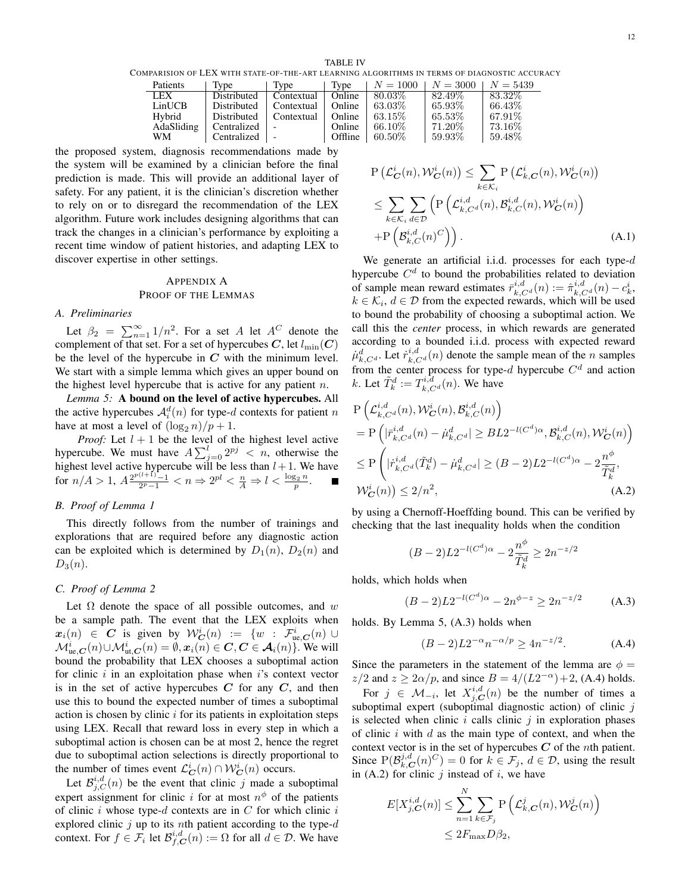TABLE IV COMPARISION OF LEX WITH STATE-OF-THE-ART LEARNING ALGORITHMS IN TERMS OF DIAGNOSTIC ACCURACY

| Patients   | Type                              | Type                          | Type    | $N = 1000$ $N = 3000$ $N = 5439$ |           |         |
|------------|-----------------------------------|-------------------------------|---------|----------------------------------|-----------|---------|
| LEX        | Distributed                       | Contextual   Online   80.03\% |         |                                  | 82.49\%   | 83.32\% |
| LinUCB     | Distributed                       | Contextual   Online           |         | 63.03%                           | $65.93\%$ | 66.43\% |
| Hybrid     | Distributed   Contextual   Online |                               |         | 63.15%                           | $65.53\%$ | 67.91\% |
| AdaSliding | Centralized -                     |                               | Online  | $66.10\%$                        | $71.20\%$ | 73.16\% |
| WМ         | $Centralized$ $\blacksquare$      |                               | Offline | $60.50\%$                        | $59.93\%$ | 59.48%  |

the proposed system, diagnosis recommendations made by the system will be examined by a clinician before the final prediction is made. This will provide an additional layer of safety. For any patient, it is the clinician's discretion whether to rely on or to disregard the recommendation of the LEX algorithm. Future work includes designing algorithms that can track the changes in a clinician's performance by exploiting a recent time window of patient histories, and adapting LEX to discover expertise in other settings.

# APPENDIX A PROOF OF THE LEMMAS

#### *A. Preliminaries*

Let  $\beta_2 = \sum_{n=1}^{\infty} 1/n^2$ . For a set A let  $A^C$  denote the complement of that set. For a set of hypercubes C, let  $l_{\min}(C)$ be the level of the hypercube in  $C$  with the minimum level. We start with a simple lemma which gives an upper bound on the highest level hypercube that is active for any patient  $n$ .

*Lemma 5:* A bound on the level of active hypercubes. All the active hypercubes  $\mathcal{A}_i^d(n)$  for type-d contexts for patient n have at most a level of  $(\log_2 n)/p + 1$ .

*Proof:* Let  $l + 1$  be the level of the highest level active hypercube. We must have  $A \sum_{j=0}^{l} 2^{pj} < n$ , otherwise the highest level active hypercube will be less than  $l + 1$ . We have for  $n/A > 1$ ,  $A \frac{2^{p(l+1)} - 1}{2^p - 1} < n \Rightarrow 2^{pl} < \frac{n}{A} \Rightarrow l < \frac{\log_2 n}{p}$ .

# *B. Proof of Lemma 1*

This directly follows from the number of trainings and explorations that are required before any diagnostic action can be exploited which is determined by  $D_1(n)$ ,  $D_2(n)$  and  $D_3(n)$ .

## *C. Proof of Lemma 2*

Let  $\Omega$  denote the space of all possible outcomes, and w be a sample path. The event that the LEX exploits when  $x_i(n) \in C$  is given by  $\mathcal{W}_C^i(n) := \{ w : \mathcal{F}_{ue,C}^i(n) \cup$  $\mathcal{M}^i_{\textup{ue},\boldsymbol{C}}(n) \cup \mathcal{M}^i_{\textup{ut},\boldsymbol{C}}(n) = \emptyset, \boldsymbol{x}_i(n) \in \boldsymbol{C}, \boldsymbol{C} \in \boldsymbol{\mathcal{A}}_i(n)\}.$  We will bound the probability that LEX chooses a suboptimal action for clinic  $i$  in an exploitation phase when  $i$ 's context vector is in the set of active hypercubes  $C$  for any  $C$ , and then use this to bound the expected number of times a suboptimal action is chosen by clinic  $i$  for its patients in exploitation steps using LEX. Recall that reward loss in every step in which a suboptimal action is chosen can be at most 2, hence the regret due to suboptimal action selections is directly proportional to the number of times event  $\mathcal{L}_{\mathbf{C}}^i(n) \cap \mathcal{W}_{\mathbf{C}}^i(n)$  occurs.

Let  $\mathcal{B}_{j,C}^{i,d}(n)$  be the event that clinic j made a suboptimal expert assignment for clinic i for at most  $n^{\phi}$  of the patients of clinic  $i$  whose type- $d$  contexts are in  $C$  for which clinic  $i$ explored clinic  $j$  up to its nth patient according to the type- $d$ context. For  $f \in \mathcal{F}_i$  let  $\mathcal{B}_{f,C}^{i,d}(n) := \Omega$  for all  $d \in \mathcal{D}$ . We have

$$
P\left(\mathcal{L}_{\mathbf{C}}^{i}(n), \mathcal{W}_{\mathbf{C}}^{i}(n)\right) \leq \sum_{k \in \mathcal{K}_{i}} P\left(\mathcal{L}_{k,\mathbf{C}}^{i}(n), \mathcal{W}_{\mathbf{C}}^{i}(n)\right)
$$
  
\n
$$
\leq \sum_{k \in \mathcal{K}_{i}} \sum_{d \in \mathcal{D}} \left( P\left(\mathcal{L}_{k,C^{d}}^{i,d}(n), \mathcal{B}_{k,C}^{i,d}(n), \mathcal{W}_{\mathbf{C}}^{i}(n)\right) + P\left(\mathcal{B}_{k,C}^{i,d}(n)^{C}\right) \right).
$$
 (A.1)

We generate an artificial i.i.d. processes for each type- $d$ hypercube  $C<sup>d</sup>$  to bound the probabilities related to deviation of sample mean reward estimates  $\bar{r}_{k,C}^{i,d}(n) := \hat{\pi}_{k,C}^{i,d}(n) - c_k^i$ ,  $k \in \mathcal{K}_i, d \in \mathcal{D}$  from the expected rewards, which will be used to bound the probability of choosing a suboptimal action. We call this the *center* process, in which rewards are generated according to a bounded i.i.d. process with expected reward  $\mu_{k,C^d}^d$ . Let  $\dot{r}_{k,C^d}^{i,d}(n)$  denote the sample mean of the n samples from the center process for type-d hypercube  $C<sup>d</sup>$  and action k. Let  $\tilde{T}_k^d := T_{k,C^d}^{i,d}(n)$ . We have

$$
P\left(\mathcal{L}_{k,C^d}^{i,d}(n), \mathcal{W}_C^i(n), \mathcal{B}_{k,C}^{i,d}(n)\right)
$$
  
= 
$$
P\left(|\bar{r}_{k,C^d}^{i,d}(n) - \dot{\mu}_{k,C^d}^d| \ge BL2^{-l(C^d)\alpha}, \mathcal{B}_{k,C}^{i,d}(n), \mathcal{W}_C^i(n)\right)
$$
  

$$
\le P\left(|\dot{r}_{k,C^d}^{i,d}(\tilde{T}_k^d) - \dot{\mu}_{k,C^d}^d| \ge (B-2)L2^{-l(C^d)\alpha} - 2\frac{n^{\phi}}{\tilde{T}_k^d},
$$
  

$$
\mathcal{W}_C^i(n)\right) \le 2/n^2,
$$
 (A.2)

by using a Chernoff-Hoeffding bound. This can be verified by checking that the last inequality holds when the condition

$$
(B-2)L2^{-l(C^d)\alpha} - 2\frac{n^{\phi}}{\tilde{T}_k^d} \ge 2n^{-z/2}
$$

holds, which holds when

$$
(B-2)L2^{-l(C^d)\alpha} - 2n^{\phi-z} \ge 2n^{-z/2} \tag{A.3}
$$

holds. By Lemma 5, (A.3) holds when

$$
(B-2)L2^{-\alpha}n^{-\alpha/p} \ge 4n^{-z/2}.
$$
 (A.4)

Since the parameters in the statement of the lemma are  $\phi =$  $z/2$  and  $z \ge 2\alpha/p$ , and since  $B = 4/(L2^{-\alpha}) + 2$ , (A.4) holds.

For  $j \in \mathcal{M}_{-i}$ , let  $X^{i,d}_{j,C}(n)$  be the number of times a suboptimal expert (suboptimal diagnostic action) of clinic  $j$ is selected when clinic  $i$  calls clinic  $j$  in exploration phases of clinic  $i$  with  $d$  as the main type of context, and when the context vector is in the set of hypercubes  $C$  of the *n*th patient. Since  $P(\mathcal{B}_{k,C}^{j,d}(n)^C) = 0$  for  $k \in \mathcal{F}_j$ ,  $d \in \mathcal{D}$ , using the result in (A.2) for clinic  $j$  instead of  $i$ , we have

$$
E[X_{j,C}^{i,d}(n)] \le \sum_{n=1}^{N} \sum_{k \in \mathcal{F}_j} \mathbb{P}\left(\mathcal{L}_{k,C}^{j}(n), \mathcal{W}_{C}^{j}(n)\right) \le 2F_{\text{max}}D\beta_2,
$$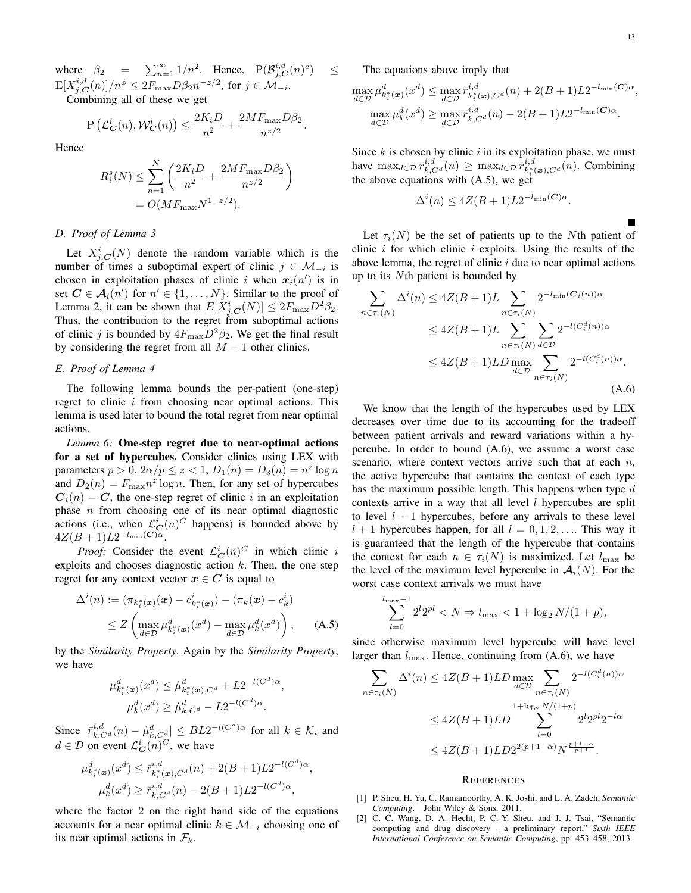where  $\beta_2 = \sum_{n=1}^{\infty} 1/n^2$ . Hence,  $P(\mathcal{B}_{j,C}^{i,d}(n)^c)$  $\text{E}[X^{i,d}_{j,\boldsymbol{C}}(n)]/n^{\phi} \leq 2F_{\text{max}}D\beta_2 n^{-z/2}$ , for  $j \in \mathcal{M}_{-i}$ .

Combining all of these we get

$$
P\left(\mathcal{L}_{\mathbf{C}}^{i}(n), \mathcal{W}_{\mathbf{C}}^{i}(n)\right) \leq \frac{2K_i D}{n^2} + \frac{2MF_{\max}D\beta_2}{n^{z/2}}.
$$

Hence

$$
R_i^s(N) \le \sum_{n=1}^N \left( \frac{2K_i D}{n^2} + \frac{2M F_{\text{max}} D \beta_2}{n^{z/2}} \right)
$$
  
= O(M F\_{\text{max}} N^{1-z/2}).

#### *D. Proof of Lemma 3*

Let  $X_{j,C}^{i}(N)$  denote the random variable which is the number of times a suboptimal expert of clinic  $j \in \mathcal{M}_{-i}$  is chosen in exploitation phases of clinic i when  $x_i(n')$  is in set  $C \in A_i(n')$  for  $n' \in \{1, ..., N\}$ . Similar to the proof of Lemma 2, it can be shown that  $E[X_{j,C}^i(N)] \leq 2F_{\text{max}}D^2\beta_2$ . Thus, the contribution to the regret from suboptimal actions of clinic j is bounded by  $4F_{\text{max}}D^2\beta_2$ . We get the final result by considering the regret from all  $M - 1$  other clinics.

#### *E. Proof of Lemma 4*

The following lemma bounds the per-patient (one-step) regret to clinic  $i$  from choosing near optimal actions. This lemma is used later to bound the total regret from near optimal actions.

*Lemma 6:* One-step regret due to near-optimal actions for a set of hypercubes. Consider clinics using LEX with parameters  $p > 0$ ,  $2\alpha/p \le z < 1$ ,  $D_1(n) = D_3(n) = n^z \log n$ and  $D_2(n) = F_{\text{max}} n^z \log n$ . Then, for any set of hypercubes  $C_i(n) = C$ , the one-step regret of clinic i in an exploitation phase  $n$  from choosing one of its near optimal diagnostic actions (i.e., when  $\mathcal{L}_{\mathbf{C}}^{i}(n)^{C}$  happens) is bounded above by  $4Z(B+1)L2^{-l_{\text{min}}({\bm{C}})\alpha}.$ 

*Proof:* Consider the event  $\mathcal{L}_{\mathbf{C}}^i(n)^C$  in which clinic i exploits and chooses diagnostic action  $k$ . Then, the one step regret for any context vector  $x \in C$  is equal to

$$
\Delta^{i}(n) := (\pi_{k_i^*(\boldsymbol{x})}(\boldsymbol{x}) - c_{k_i^*(\boldsymbol{x})}^{i}) - (\pi_k(\boldsymbol{x}) - c_k^i)
$$
  
\n
$$
\leq Z \left( \max_{d \in \mathcal{D}} \mu_{k_i^*(\boldsymbol{x})}^d(\boldsymbol{x}^d) - \max_{d \in \mathcal{D}} \mu_k^d(\boldsymbol{x}^d) \right), \quad (A.5)
$$

by the *Similarity Property*. Again by the *Similarity Property*, we have

$$
\mu_{k_i^*(x)}^d(x^d) \le \mu_{k_i^*(x),C^d}^d + L2^{-l(C^d)\alpha},
$$
  

$$
\mu_k^d(x^d) \ge \mu_{k,C^d}^d - L2^{-l(C^d)\alpha}.
$$

Since  $|\bar{r}_{k,C^d}^{i,d}(n) - \dot{\mu}_{k,C^d}^d| \leq BL2^{-l(C^d)\alpha}$  for all  $k \in \mathcal{K}_i$  and  $d \in \mathcal{D}$  on event  $\mathcal{L}_{\mathbf{C}}^i(n)^C$ , we have

$$
\mu_{k_i^*(x)}^d(x^d) \le \bar{r}_{k_i^*(x),C^d}^{i,d}(n) + 2(B+1)L2^{-l(C^d)\alpha},
$$
  

$$
\mu_k^d(x^d) \ge \bar{r}_{k,C^d}^{i,d}(n) - 2(B+1)L2^{-l(C^d)\alpha},
$$

where the factor 2 on the right hand side of the equations accounts for a near optimal clinic  $k \in \mathcal{M}_{-i}$  choosing one of its near optimal actions in  $\mathcal{F}_k$ .

The equations above imply that

 $\leq$ 

$$
\max_{d \in \mathcal{D}} \mu_{k_i^*(\bm{x})}^d(x^d) \le \max_{d \in \mathcal{D}} \bar{r}_{k_i^*(\bm{x}), C^d}^{i, d}(n) + 2(B+1)L2^{-l_{\min}(C)\alpha},
$$
  

$$
\max_{d \in \mathcal{D}} \mu_k^d(x^d) \ge \max_{d \in \mathcal{D}} \bar{r}_{k, C^d}^{i, d}(n) - 2(B+1)L2^{-l_{\min}(C)\alpha}.
$$

Since  $k$  is chosen by clinic  $i$  in its exploitation phase, we must have  $\max_{d \in \mathcal{D}} \bar{r}_{k,C}^{i,d}(n) \geq \max_{d \in \mathcal{D}} \bar{r}_{k, \atop k, \atop n}^{i,d}$  $a_{k_i^*(\boldsymbol{x}),C^d}^{i,a}(n)$ . Combining the above equations with  $(A.5)$ , we get

$$
\Delta^{i}(n) \le 4Z(B+1)L2^{-l_{\min}(C)\alpha}.
$$

Let  $\tau_i(N)$  be the set of patients up to the Nth patient of clinic i for which clinic i exploits. Using the results of the above lemma, the regret of clinic  $i$  due to near optimal actions up to its Nth patient is bounded by

$$
\sum_{n \in \tau_i(N)} \Delta^i(n) \le 4Z(B+1)L \sum_{n \in \tau_i(N)} 2^{-l_{\min}(C_i(n))\alpha}
$$
  
\n
$$
\le 4Z(B+1)L \sum_{n \in \tau_i(N)} \sum_{d \in \mathcal{D}} 2^{-l(C_i^d(n))\alpha}
$$
  
\n
$$
\le 4Z(B+1)LD \max_{d \in \mathcal{D}} \sum_{n \in \tau_i(N)} 2^{-l(C_i^d(n))\alpha}.
$$
  
\n(A.6)

We know that the length of the hypercubes used by LEX decreases over time due to its accounting for the tradeoff between patient arrivals and reward variations within a hypercube. In order to bound (A.6), we assume a worst case scenario, where context vectors arrive such that at each  $n$ , the active hypercube that contains the context of each type has the maximum possible length. This happens when type  $d$ contexts arrive in a way that all level  $l$  hypercubes are split to level  $l + 1$  hypercubes, before any arrivals to these level  $l + 1$  hypercubes happen, for all  $l = 0, 1, 2, \ldots$  This way it is guaranteed that the length of the hypercube that contains the context for each  $n \in \tau_i(N)$  is maximized. Let  $l_{\text{max}}$  be the level of the maximum level hypercube in  $\mathcal{A}_i(N)$ . For the worst case context arrivals we must have

$$
\sum_{l=0}^{l_{\max}-1} 2^l 2^{pl} < N \Rightarrow l_{\max} < 1 + \log_2 N/(1+p),
$$

since otherwise maximum level hypercube will have level larger than  $l_{\text{max}}$ . Hence, continuing from (A.6), we have

$$
\sum_{n \in \tau_i(N)} \Delta^i(n) \le 4Z(B+1)LD \max_{d \in \mathcal{D}} \sum_{n \in \tau_i(N)} 2^{-l(C_i^d(n))\alpha}
$$
  

$$
\le 4Z(B+1)LD \sum_{l=0}^{1+\log_2 N/(1+p)} 2^l 2^{lpl} 2^{-l\alpha}
$$
  

$$
\le 4Z(B+1)LD 2^{2(p+1-\alpha)} N^{\frac{p+1-\alpha}{p+1}}.
$$

## **REFERENCES**

- [1] P. Sheu, H. Yu, C. Ramamoorthy, A. K. Joshi, and L. A. Zadeh, *Semantic Computing*. John Wiley & Sons, 2011.
- [2] C. C. Wang, D. A. Hecht, P. C.-Y. Sheu, and J. J. Tsai, "Semantic computing and drug discovery - a preliminary report," *Sixth IEEE International Conference on Semantic Computing*, pp. 453–458, 2013.